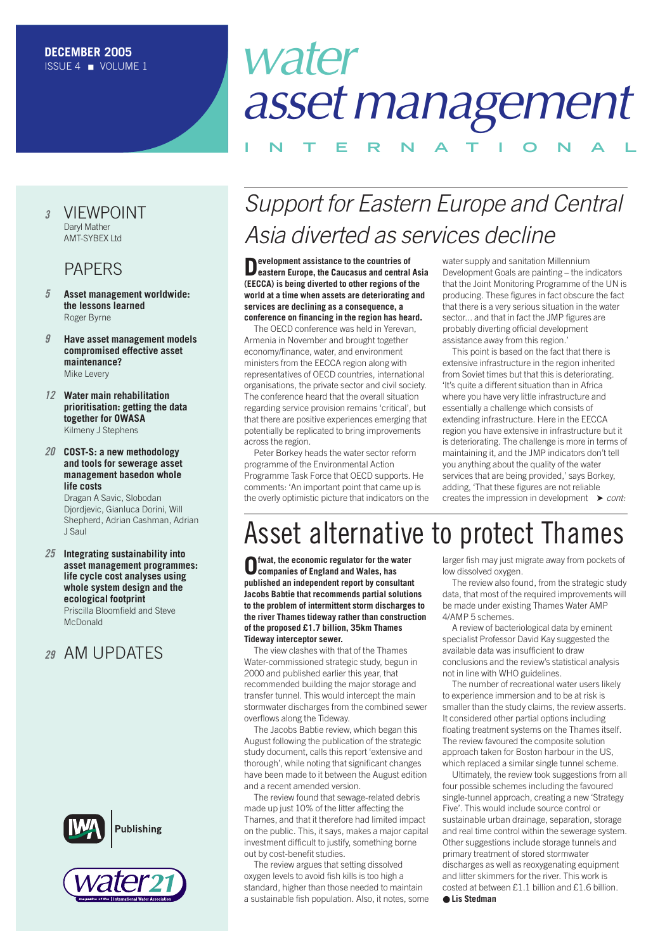#### *<sup>3</sup>* [VIEWPOINT](#page-2-0) Daryl Mather AMT-SYBEX Ltd

#### PAPERS

- *5* **[Asset management worldwide:](#page-4-0)  the lessons learned** Roger Byrne
- *9* **[Have asset management models](#page-8-0)  compromised effective asset maintenance?** Mike Levery
- *12* **Water main rehabilitation [prioritisation: getting the data](#page-11-0)  together for OWASA** Kilmeny J Stephens
- *20* **COST-S: a new methodology and tools for sewerage asset [management basedon whole](#page-19-0)  life costs**

Dragan A Savic, Slobodan Djordjevic, Gianluca Dorini, Will Shepherd, Adrian Cashman, Adrian J Saul

*25* **Integrating sustainability into [asset management programmes:](#page-24-0) life cycle cost analyses using whole system design and the ecological footprint**

Priscilla Bloomfield and Steve McDonald

#### *<sup>29</sup>* [AM UPDATES](#page-28-0)





# water *assetmanagement*

#### **INTERNAT IONAL**

### *Support for Eastern Europe and Central Asia diverted as services decline*

**Development assistance to the countries of eastern Europe, the Caucasus and central Asia (EECCA) is being diverted to other regions of the world at a time when assets are deteriorating and services are declining as a consequence, a conference on financing in the region has heard.**

The OECD conference was held in Yerevan, Armenia in November and brought together economy/finance, water, and environment ministers from the EECCA region along with representatives of OECD countries, international organisations, the private sector and civil society. The conference heard that the overall situation regarding service provision remains 'critical', but that there are positive experiences emerging that potentially be replicated to bring improvements across the region.

Peter Borkey heads the water sector reform programme of the Environmental Action Programme Task Force that OECD supports. He comments: 'An important point that came up is the overly optimistic picture that indicators on the

water supply and sanitation Millennium Development Goals are painting – the indicators that the Joint Monitoring Programme of the UN is producing. These figures in fact obscure the fact that there is a very serious situation in the water sector... and that in fact the JMP figures are probably diverting official development assistance away from this region.'

This point is based on the fact that there is extensive infrastructure in the region inherited from Soviet times but that this is deteriorating. 'It's quite a different situation than in Africa where you have very little infrastructure and essentially a challenge which consists of extending infrastructure. Here in the EECCA region you have extensive in infrastructure but it is deteriorating. The challenge is more in terms of maintaining it, and the JMP indicators don't tell you anything about the quality of the water services that are being provided,' says Borkey, adding, 'That these figures are not reliable creates the impression in development ➤ *cont:*

### Asset alternative to protect Thames

**Ofwat, the economic regulator for the water companies of England and Wales, has published an independent report by consultant Jacobs Babtie that recommends partial solutions to the problem of intermittent storm discharges to the river Thames tideway rather than construction of the proposed £1.7 billion, 35km Thames Tideway interceptor sewer.**

The view clashes with that of the Thames Water-commissioned strategic study, begun in 2000 and published earlier this year, that recommended building the major storage and transfer tunnel. This would intercept the main stormwater discharges from the combined sewer overflows along the Tideway.

The Jacobs Babtie review, which began this August following the publication of the strategic study document, calls this report 'extensive and thorough', while noting that significant changes have been made to it between the August edition and a recent amended version.

The review found that sewage-related debris made up just 10% of the litter affecting the Thames, and that it therefore had limited impact on the public. This, it says, makes a major capital investment difficult to justify, something borne out by cost-benefit studies.

The review argues that setting dissolved oxygen levels to avoid fish kills is too high a standard, higher than those needed to maintain a sustainable fish population. Also, it notes, some

larger fish may just migrate away from pockets of low dissolved oxygen.

The review also found, from the strategic study data, that most of the required improvements will be made under existing Thames Water AMP 4/AMP 5 schemes.

A review of bacteriological data by eminent specialist Professor David Kay suggested the available data was insufficient to draw conclusions and the review's statistical analysis not in line with WHO guidelines.

The number of recreational water users likely to experience immersion and to be at risk is smaller than the study claims, the review asserts. It considered other partial options including floating treatment systems on the Thames itself. The review favoured the composite solution approach taken for Boston harbour in the US, which replaced a similar single tunnel scheme.

Ultimately, the review took suggestions from all four possible schemes including the favoured single-tunnel approach, creating a new 'Strategy Five'. This would include source control or sustainable urban drainage, separation, storage and real time control within the sewerage system. Other suggestions include storage tunnels and primary treatment of stored stormwater discharges as well as reoxygenating equipment and litter skimmers for the river. This work is costed at between £1.1 billion and £1.6 billion. ● **Lis Stedman**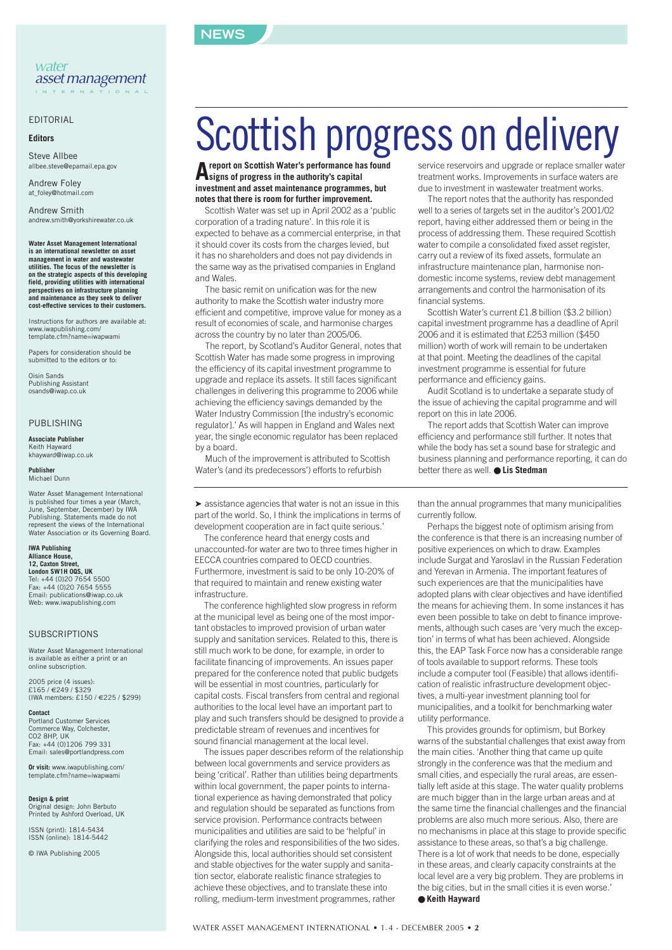#### **NEWS**

#### EDITORIAL

#### **Editors**

Steve Allbee allbee.steve@epamail.epa.gov

Andrew Foley at\_foley@hotmail.com

Andrew Smith andrew.smith@yorkshirewater.co.uk

**Water Asset Management International is an international newsletter on asset management in water and wastewater utilities. The focus of the newsletter is on the strategic aspects of this developing field, providing utilities with international perspectives on infrastructure planning and maintenance as they seek to deliver cost-effective services to their customers.**

Instructions for authors are available at: www.iwapublishing.com/ template.cfm?name=iwapwami

Papers for consideration should be submitted to the editors or to:

Oisin Sands Publishing Assistant osands@iwap.co.uk

#### PUBLISHING

**Associate Publisher** Keith Hayward khayward@iwap.co.uk

**Publisher** Michael Dunn

Water Asset Management International is published four times a year (March, June, September, December) by IWA Publishing. Statements made do not represent the views of the International Water Association or its Governing Board.

**IWA Publishing Alliance House, 12, Caxton Street, London SW1H 0QS, UK** Tel: +44 (0)20 7654 5500 Fax: +44 (0)20 7654 5555 Email: publications@iwap.co.uk Web: www.iwapublishing.com

#### **SUBSCRIPTIONS**

Water Asset Management International is available as either a print or an online subscription.

2005 price (4 issues):  $f165 / f219 / f320$ (IWA members: £150 / €225 / \$299)

**Contact** Portland Customer Services Commerce Way, Colchester, CO2 8HP, UK Fax: +44 (0)1206 799 331 Email: sales@portlandpress.com

**Or visit:** www.iwapublishing.com/ template.cfm?name=iwapwami

**Design & print** Original design: John Berbuto Printed by Ashford Overload, UK

ISSN (print): 1814-5434 ISSN (online): 1814-5442

© IWA Publishing 2005

# Scottish progress on delivery

**Areport on Scottish Water's performance has found signs of progress in the authority's capital investment and asset maintenance programmes, but notes that there is room for further improvement.**

Scottish Water was set up in April 2002 as a 'public corporation of a trading nature'. In this role it is expected to behave as a commercial enterprise, in that it should cover its costs from the charges levied, but it has no shareholders and does not pay dividends in the same way as the privatised companies in England and Wales.

The basic remit on unification was for the new authority to make the Scottish water industry more efficient and competitive, improve value for money as a result of economies of scale, and harmonise charges across the country by no later than 2005/06.

The report, by Scotland's Auditor General, notes that Scottish Water has made some progress in improving the efficiency of its capital investment programme to upgrade and replace its assets. It still faces significant challenges in delivering this programme to 2006 while achieving the efficiency savings demanded by the Water Industry Commission [the industry's economic regulator].' As will happen in England and Wales next year, the single economic regulator has been replaced by a board.

Much of the improvement is attributed to Scottish Water's (and its predecessors') efforts to refurbish

➤ assistance agencies that water is not an issue in this part of the world. So, I think the implications in terms of development cooperation are in fact quite serious.'

The conference heard that energy costs and unaccounted-for water are two to three times higher in EECCA countries compared to OECD countries. Furthermore, investment is said to be only 10-20% of that required to maintain and renew existing water infrastructure.

The conference highlighted slow progress in reform at the municipal level as being one of the most important obstacles to improved provision of urban water supply and sanitation services. Related to this, there is still much work to be done, for example, in order to facilitate financing of improvements. An issues paper prepared for the conference noted that public budgets will be essential in most countries, particularly for capital costs. Fiscal transfers from central and regional authorities to the local level have an important part to play and such transfers should be designed to provide a predictable stream of revenues and incentives for sound financial management at the local level.

The issues paper describes reform of the relationship between local governments and service providers as being 'critical'. Rather than utilities being departments within local government, the paper points to international experience as having demonstrated that policy and regulation should be separated as functions from service provision. Performance contracts between municipalities and utilities are said to be 'helpful' in clarifying the roles and responsibilities of the two sides. Alongside this, local authorities should set consistent and stable objectives for the water supply and sanitation sector, elaborate realistic finance strategies to achieve these objectives, and to translate these into rolling, medium-term investment programmes, rather

service reservoirs and upgrade or replace smaller water treatment works. Improvements in surface waters are due to investment in wastewater treatment works.

The report notes that the authority has responded well to a series of targets set in the auditor's 2001/02 report, having either addressed them or being in the process of addressing them. These required Scottish water to compile a consolidated fixed asset register, carry out a review of its fixed assets, formulate an infrastructure maintenance plan, harmonise nondomestic income systems, review debt management arrangements and control the harmonisation of its financial systems.

Scottish Water's current £1.8 billion (\$3.2 billion) capital investment programme has a deadline of April 2006 and it is estimated that £253 million (\$450 million) worth of work will remain to be undertaken at that point. Meeting the deadlines of the capital investment programme is essential for future performance and efficiency gains.

Audit Scotland is to undertake a separate study of the issue of achieving the capital programme and will report on this in late 2006.

The report adds that Scottish Water can improve efficiency and performance still further. It notes that while the body has set a sound base for strategic and business planning and performance reporting, it can do better there as well. ● **Lis Stedman**

than the annual programmes that many municipalities currently follow.

Perhaps the biggest note of optimism arising from the conference is that there is an increasing number of positive experiences on which to draw. Examples include Surgat and Yaroslavl in the Russian Federation and Yerevan in Armenia. The important features of such experiences are that the municipalities have adopted plans with clear objectives and have identified the means for achieving them. In some instances it has even been possible to take on debt to finance improvements, although such cases are 'very much the exception' in terms of what has been achieved. Alongside this, the EAP Task Force now has a considerable range of tools available to support reforms. These tools include a computer tool (Feasible) that allows identification of realistic infrastructure development objectives, a multi-year investment planning tool for municipalities, and a toolkit for benchmarking water utility performance.

This provides grounds for optimism, but Borkey warns of the substantial challenges that exist away from the main cities. 'Another thing that came up quite strongly in the conference was that the medium and small cities, and especially the rural areas, are essentially left aside at this stage. The water quality problems are much bigger than in the large urban areas and at the same time the financial challenges and the financial problems are also much more serious. Also, there are no mechanisms in place at this stage to provide specific assistance to these areas, so that's a big challenge. There is a lot of work that needs to be done, especially in these areas, and clearly capacity constraints at the local level are a very big problem. They are problems in the big cities, but in the small cities it is even worse.' ● **Keith Hayward**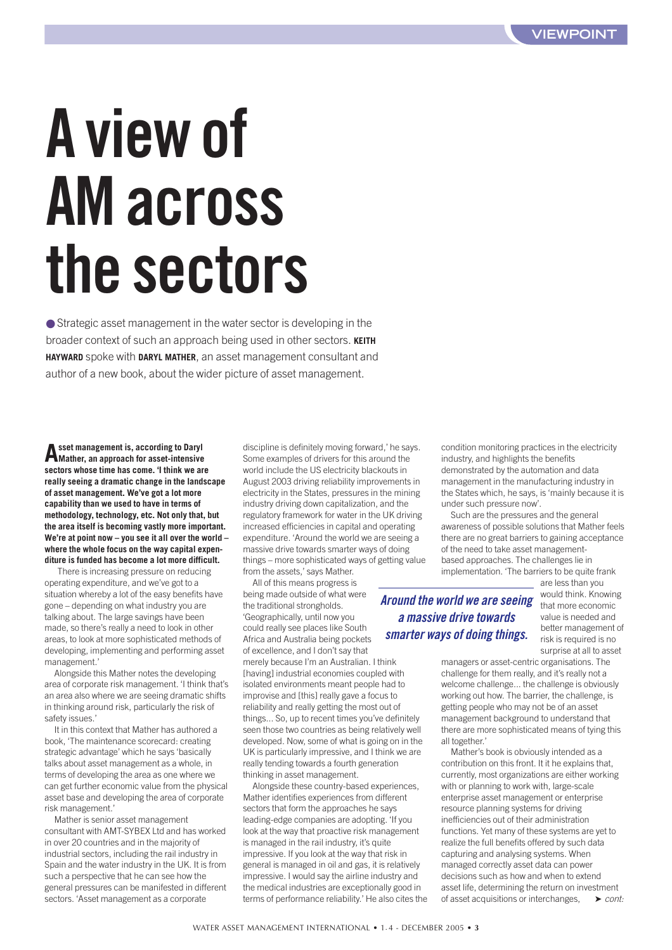# <span id="page-2-0"></span>**A view of AM across the sectors**

● Strategic asset management in the water sector is developing in the broader context of such an approach being used in other sectors. **KEITH HAYWARD** spoke with **DARYL MATHER**, an asset management consultant and author of a new book, about the wider picture of asset management.

**Asset management is, according to Daryl Mather, an approach for asset-intensive sectors whose time has come. 'I think we are really seeing a dramatic change in the landscape of asset management. We've got a lot more capability than we used to have in terms of methodology, technology, etc. Not only that, but the area itself is becoming vastly more important. We're at point now – you see it all over the world – where the whole focus on the way capital expenditure is funded has become a lot more difficult.** 

There is increasing pressure on reducing operating expenditure, and we've got to a situation whereby a lot of the easy benefits have gone – depending on what industry you are talking about. The large savings have been made, so there's really a need to look in other areas, to look at more sophisticated methods of developing, implementing and performing asset management.'

Alongside this Mather notes the developing area of corporate risk management. 'I think that's an area also where we are seeing dramatic shifts in thinking around risk, particularly the risk of safety issues.'

It in this context that Mather has authored a book, 'The maintenance scorecard: creating strategic advantage' which he says 'basically talks about asset management as a whole, in terms of developing the area as one where we can get further economic value from the physical asset base and developing the area of corporate risk management.'

Mather is senior asset management consultant with AMT-SYBEX Ltd and has worked in over 20 countries and in the majority of industrial sectors, including the rail industry in Spain and the water industry in the UK. It is from such a perspective that he can see how the general pressures can be manifested in different sectors. 'Asset management as a corporate

discipline is definitely moving forward,' he says. Some examples of drivers for this around the world include the US electricity blackouts in August 2003 driving reliability improvements in electricity in the States, pressures in the mining industry driving down capitalization, and the regulatory framework for water in the UK driving increased efficiencies in capital and operating expenditure. 'Around the world we are seeing a massive drive towards smarter ways of doing things – more sophisticated ways of getting value from the assets,' says Mather.

All of this means progress is being made outside of what were the traditional strongholds. 'Geographically, until now you could really see places like South Africa and Australia being pockets of excellence, and I don't say that merely because I'm an Australian. I think [having] industrial economies coupled with isolated environments meant people had to improvise and [this] really gave a focus to reliability and really getting the most out of things... So, up to recent times you've definitely seen those two countries as being relatively well developed. Now, some of what is going on in the UK is particularly impressive, and I think we are really tending towards a fourth generation thinking in asset management.

Alongside these country-based experiences, Mather identifies experiences from different sectors that form the approaches he says leading-edge companies are adopting. 'If you look at the way that proactive risk management is managed in the rail industry, it's quite impressive. If you look at the way that risk in general is managed in oil and gas, it is relatively impressive. I would say the airline industry and the medical industries are exceptionally good in terms of performance reliability.' He also cites the condition monitoring practices in the electricity industry, and highlights the benefits demonstrated by the automation and data management in the manufacturing industry in the States which, he says, is 'mainly because it is under such pressure now'.

Such are the pressures and the general awareness of possible solutions that Mather feels there are no great barriers to gaining acceptance of the need to take asset managementbased approaches. The challenges lie in implementation. 'The barriers to be quite frank

#### *Around the world we are seeing a massive drive towards smarter ways of doing things.*

are less than you would think. Knowing that more economic value is needed and better management of risk is required is no surprise at all to asset

managers or asset-centric organisations. The challenge for them really, and it's really not a welcome challenge... the challenge is obviously working out how. The barrier, the challenge, is getting people who may not be of an asset management background to understand that there are more sophisticated means of tying this all together.'

Mather's book is obviously intended as a contribution on this front. It it he explains that, currently, most organizations are either working with or planning to work with, large-scale enterprise asset management or enterprise resource planning systems for driving inefficiencies out of their administration functions. Yet many of these systems are yet to realize the full benefits offered by such data capturing and analysing systems. When managed correctly asset data can power decisions such as how and when to extend asset life, determining the return on investment of asset acquisitions or interchanges, ➤ *cont:*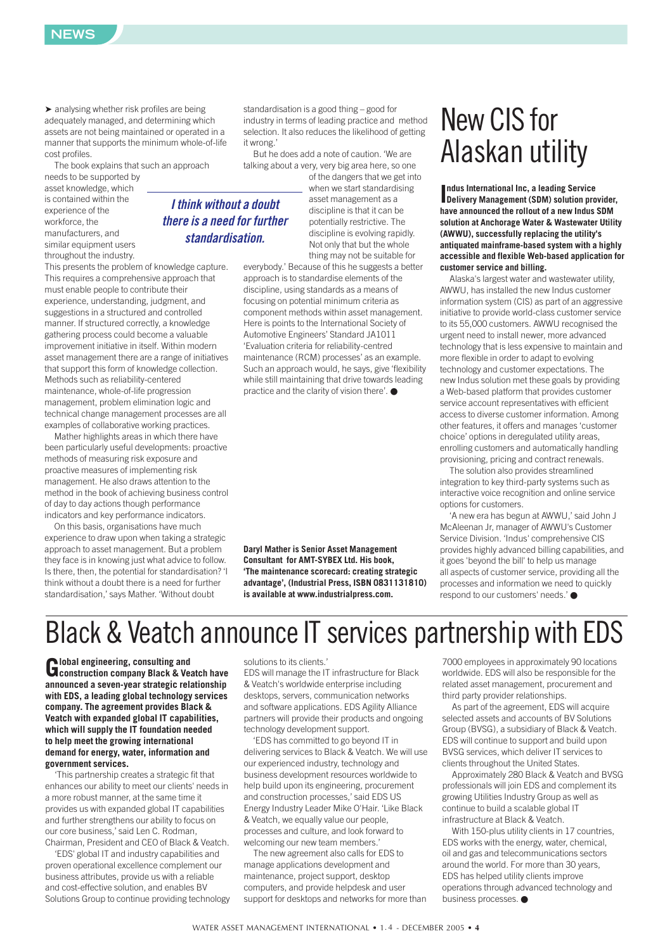

➤ analysing whether risk profiles are being adequately managed, and determining which assets are not being maintained or operated in a manner that supports the minimum whole-of-life cost profiles.

The book explains that such an approach

needs to be supported by asset knowledge, which is contained within the experience of the workforce, the manufacturers, and similar equipment users throughout the industry.

This presents the problem of knowledge capture. This requires a comprehensive approach that must enable people to contribute their experience, understanding, judgment, and suggestions in a structured and controlled manner. If structured correctly, a knowledge gathering process could become a valuable improvement initiative in itself. Within modern asset management there are a range of initiatives that support this form of knowledge collection. Methods such as reliability-centered maintenance, whole-of-life progression management, problem elimination logic and technical change management processes are all examples of collaborative working practices.

Mather highlights areas in which there have been particularly useful developments: proactive methods of measuring risk exposure and proactive measures of implementing risk management. He also draws attention to the method in the book of achieving business control of day to day actions though performance indicators and key performance indicators.

On this basis, organisations have much experience to draw upon when taking a strategic approach to asset management. But a problem they face is in knowing just what advice to follow. Is there, then, the potential for standardisation? 'I think without a doubt there is a need for further standardisation,' says Mather. 'Without doubt

standardisation is a good thing – good for industry in terms of leading practice and method selection. It also reduces the likelihood of getting it wrong.'

But he does add a note of caution. 'We are talking about a very, very big area here, so one

> of the dangers that we get into when we start standardising asset management as a discipline is that it can be potentially restrictive. The discipline is evolving rapidly. Not only that but the whole thing may not be suitable for

everybody.' Because of this he suggests a better approach is to standardise elements of the discipline, using standards as a means of focusing on potential minimum criteria as component methods within asset management. Here is points to the International Society of Automotive Engineers' Standard JA1011 'Evaluation criteria for reliability-centred maintenance (RCM) processes' as an example. Such an approach would, he says, give 'flexibility while still maintaining that drive towards leading practice and the clarity of vision there'. ●

**Daryl Mather is Senior Asset Management Consultant for AMT-SYBEX Ltd. His book, 'The maintenance scorecard: creating strategic advantage', (Industrial Press, ISBN 0831131810) is available at www.industrialpress.com.**

### New CIS for Alaskan utility

**Indus International Inc, a leading Service<br>
<b>Delivery Management (SDM) solution provider, ndus International Inc, a leading Service have announced the rollout of a new Indus SDM solution at Anchorage Water & Wastewater Utility (AWWU), successfully replacing the utility's antiquated mainframe-based system with a highly accessible and flexible Web-based application for customer service and billing.** 

Alaska's largest water and wastewater utility, AWWU, has installed the new Indus customer information system (CIS) as part of an aggressive initiative to provide world-class customer service to its 55,000 customers. AWWU recognised the urgent need to install newer, more advanced technology that is less expensive to maintain and more flexible in order to adapt to evolving technology and customer expectations. The new Indus solution met these goals by providing a Web-based platform that provides customer service account representatives with efficient access to diverse customer information. Among other features, it offers and manages 'customer choice' options in deregulated utility areas, enrolling customers and automatically handling provisioning, pricing and contract renewals.

The solution also provides streamlined integration to key third-party systems such as interactive voice recognition and online service options for customers.

'A new era has begun at AWWU,' said John J McAleenan Jr, manager of AWWU's Customer Service Division. 'Indus' comprehensive CIS provides highly advanced billing capabilities, and it goes 'beyond the bill' to help us manage all aspects of customer service, providing all the processes and information we need to quickly respond to our customers' needs.' ●

### Black & Veatch announce IT services partnership with EDS

**Global engineering, consulting and construction company Black & Veatch have announced a seven-year strategic relationship with EDS, a leading global technology services company. The agreement provides Black & Veatch with expanded global IT capabilities, which will supply the IT foundation needed to help meet the growing international demand for energy, water, information and government services.**

'This partnership creates a strategic fit that enhances our ability to meet our clients' needs in a more robust manner, at the same time it provides us with expanded global IT capabilities and further strengthens our ability to focus on our core business,' said Len C. Rodman, Chairman, President and CEO of Black & Veatch.

'EDS' global IT and industry capabilities and proven operational excellence complement our business attributes, provide us with a reliable and cost-effective solution, and enables BV Solutions Group to continue providing technology solutions to its clients.'

EDS will manage the IT infrastructure for Black & Veatch's worldwide enterprise including desktops, servers, communication networks and software applications. EDS Agility Alliance partners will provide their products and ongoing technology development support.

'EDS has committed to go beyond IT in delivering services to Black & Veatch. We will use our experienced industry, technology and business development resources worldwide to help build upon its engineering, procurement and construction processes,' said EDS US Energy Industry Leader Mike O'Hair. 'Like Black & Veatch, we equally value our people, processes and culture, and look forward to welcoming our new team members.'

The new agreement also calls for EDS to manage applications development and maintenance, project support, desktop computers, and provide helpdesk and user support for desktops and networks for more than

7000 employees in approximately 90 locations worldwide. EDS will also be responsible for the related asset management, procurement and third party provider relationships.

As part of the agreement, EDS will acquire selected assets and accounts of BV Solutions Group (BVSG), a subsidiary of Black & Veatch. EDS will continue to support and build upon BVSG services, which deliver IT services to clients throughout the United States.

Approximately 280 Black & Veatch and BVSG professionals will join EDS and complement its growing Utilities Industry Group as well as continue to build a scalable global IT infrastructure at Black & Veatch.

With 150-plus utility clients in 17 countries, EDS works with the energy, water, chemical, oil and gas and telecommunications sectors around the world. For more than 30 years, EDS has helped utility clients improve operations through advanced technology and business processes. ●

#### *I think without a doubt there is a need for further standardisation.*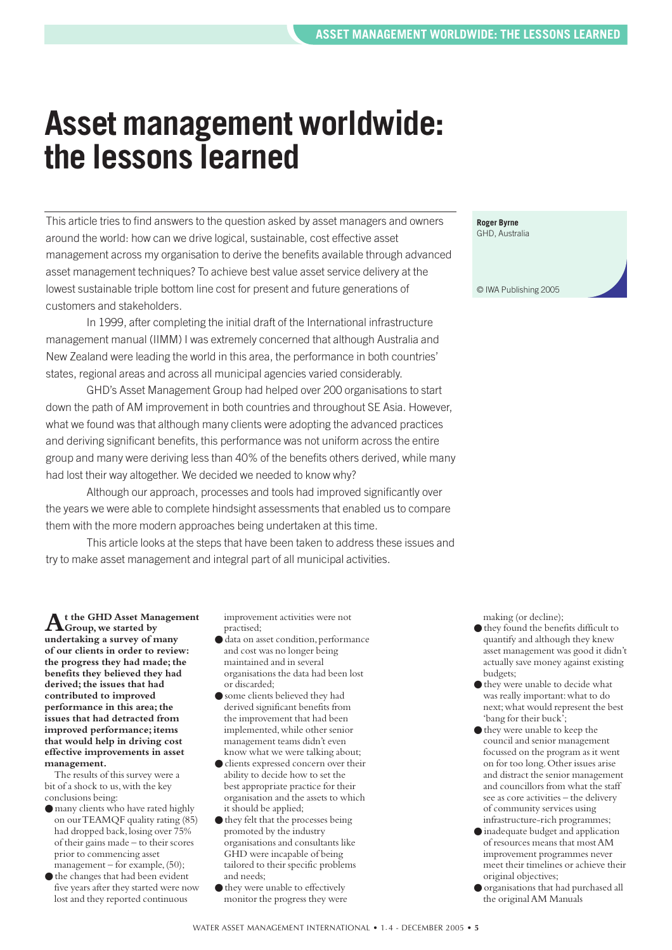### <span id="page-4-0"></span>**Asset management worldwide: the lessons learned**

This article tries to find answers to the question asked by asset managers and owners around the world: how can we drive logical, sustainable, cost effective asset management across my organisation to derive the benefits available through advanced asset management techniques? To achieve best value asset service delivery at the lowest sustainable triple bottom line cost for present and future generations of customers and stakeholders.

In 1999, after completing the initial draft of the International infrastructure management manual (IIMM) I was extremely concerned that although Australia and New Zealand were leading the world in this area, the performance in both countries' states, regional areas and across all municipal agencies varied considerably.

GHD's Asset Management Group had helped over 200 organisations to start down the path of AM improvement in both countries and throughout SE Asia. However, what we found was that although many clients were adopting the advanced practices and deriving significant benefits, this performance was not uniform across the entire group and many were deriving less than 40% of the benefits others derived, while many had lost their way altogether. We decided we needed to know why?

Although our approach, processes and tools had improved significantly over the years we were able to complete hindsight assessments that enabled us to compare them with the more modern approaches being undertaken at this time.

This article looks at the steps that have been taken to address these issues and try to make asset management and integral part of all municipal activities.

**At the GHD Asset Management Group,we started by undertaking a survey of many of our clients in order to review: the progress they had made; the benefits they believed they had derived; the issues that had contributed to improved performance in this area; the issues that had detracted from improved performance; items that would help in driving cost effective improvements in asset management.**

The results of this survey were a bit of a shock to us, with the key conclusions being:

- many clients who have rated highly on our TEAMQF quality rating (85) had dropped back,losing over 75% of their gains made – to their scores prior to commencing asset  $m$ anagement – for example, (50);
- the changes that had been evident five years after they started were now lost and they reported continuous

improvement activities were not practised;

- data on asset condition,performance and cost was no longer being maintained and in several organisations the data had been lost or discarded;
- some clients believed they had derived significant benefits from the improvement that had been implemented, while other senior management teams didn't even know what we were talking about;
- clients expressed concern over their ability to decide how to set the best appropriate practice for their organisation and the assets to which it should be applied;
- they felt that the processes being promoted by the industry organisations and consultants like GHD were incapable of being tailored to their specific problems and needs;
- they were unable to effectively monitor the progress they were

**Roger Byrne** GHD, Australia © IWA Publishing 2005

making (or decline);

- $\bullet$  they found the benefits difficult to quantify and although they knew asset management was good it didn't actually save money against existing budgets;
- $\bullet$  they were unable to decide what was really important:what to do next;what would represent the best 'bang for their buck';
- they were unable to keep the council and senior management focussed on the program as it went on for too long.Other issues arise and distract the senior management and councillors from what the staff see as core activities – the delivery of community services using infrastructure-rich programmes;
- inadequate budget and application of resources means that most AM improvement programmes never meet their timelines or achieve their original objectives;
- organisations that had purchased all the original AM Manuals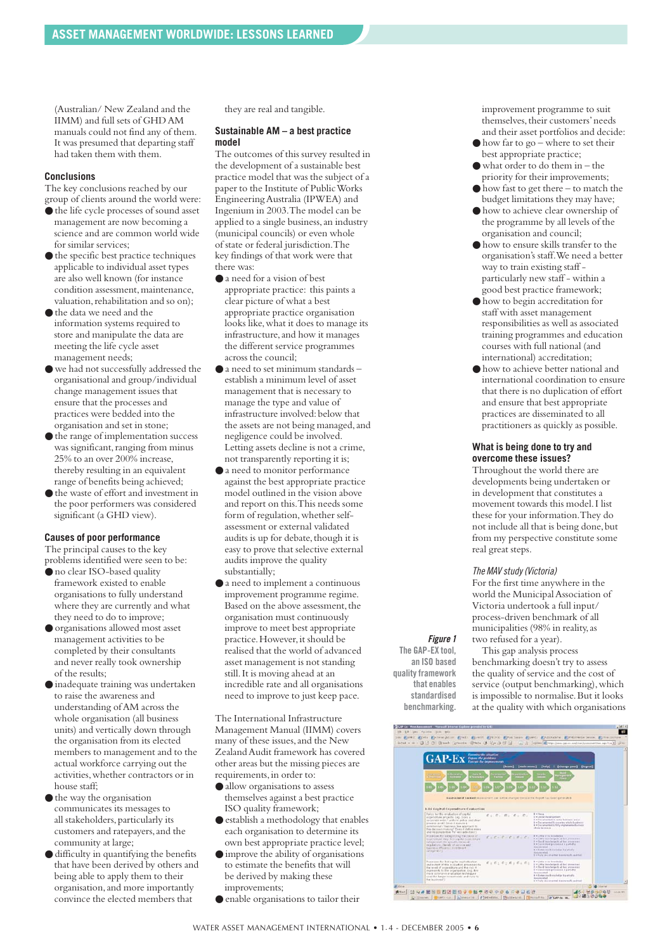(Australian/ New Zealand and the IIMM) and full sets of GHD AM manuals could not find any of them. It was presumed that departing staff had taken them with them.

#### **Conclusions**

The key conclusions reached by our group of clients around the world were:

- the life cycle processes of sound asset management are now becoming a science and are common world wide for similar services;
- the specific best practice techniques applicable to individual asset types are also well known (for instance condition assessment, maintenance, valuation, rehabilitation and so on);
- the data we need and the information systems required to store and manipulate the data are meeting the life cycle asset management needs;
- $\bullet$  we had not successfully addressed the organisational and group/individual change management issues that ensure that the processes and practices were bedded into the organisation and set in stone;
- $\bullet$  the range of implementation success was significant, ranging from minus 25% to an over 200% increase, thereby resulting in an equivalent range of benefits being achieved;
- the waste of effort and investment in the poor performers was considered significant (a GHD view).

#### **Causes of poor performance**

The principal causes to the key problems identified were seen to be:

- $\bullet$  no clear ISO-based quality framework existed to enable organisations to fully understand where they are currently and what they need to do to improve;
- organisations allowed most asset management activities to be completed by their consultants and never really took ownership of the results;
- inadequate training was undertaken to raise the awareness and understanding of AM across the whole organisation (all business units) and vertically down through the organisation from its elected members to management and to the actual workforce carrying out the activities,whether contractors or in house staff;
- the way the organisation communicates its messages to all stakeholders, particularly its customers and ratepayers, and the community at large;
- difficulty in quantifying the benefits that have been derived by others and being able to apply them to their organisation,and more importantly convince the elected members that

they are real and tangible.

#### **Sustainable AM – a best practice model**

The outcomes of this survey resulted in the development of a sustainable best practice model that was the subject of a paper to the Institute of Public Works Engineering Australia (IPWEA) and Ingenium in 2003.The model can be applied to a single business,an industry (municipal councils) or even whole of state or federal jurisdiction.The key findings of that work were that there was:

- a need for a vision of best appropriate practice: this paints a clear picture of what a best appropriate practice organisation looks like,what it does to manage its infrastructure, and how it manages the different service programmes across the council;
- $\bullet$  a need to set minimum standards  $$ establish a minimum level of asset management that is necessary to manage the type and value of infrastructure involved: below that the assets are not being managed, and negligence could be involved. Letting assets decline is not a crime, not transparently reporting it is;
- a need to monitor performance against the best appropriate practice model outlined in the vision above and report on this.This needs some form of regulation, whether selfassessment or external validated audits is up for debate, though it is easy to prove that selective external audits improve the quality substantially;
- a need to implement a continuous improvement programme regime. Based on the above assessment, the organisation must continuously improve to meet best appropriate practice. However, it should be realised that the world of advanced asset management is not standing still.It is moving ahead at an incredible rate and all organisations need to improve to just keep pace.

The International Infrastructure Management Manual (IIMM) covers many of these issues,and the New Zealand Audit framework has covered other areas but the missing pieces are requirements, in order to:

- allow organisations to assess themselves against a best practice ISO quality framework;
- establish a methodology that enables each organisation to determine its own best appropriate practice level;
- improve the ability of organisations to estimate the benefits that will be derived by making these improvements;
- enable organisations to tailor their

improvement programme to suit themselves, their customers' needs and their asset portfolios and decide:

- $\bullet$  how far to go where to set their best appropriate practice;
- $\bullet$  what order to do them in the priority for their improvements;
- how fast to get there to match the budget limitations they may have;
- how to achieve clear ownership of the programme by all levels of the organisation and council;
- how to ensure skills transfer to the organisation's staff.We need a better way to train existing staff particularly new staff - within a good best practice framework;
- $\bullet$  how to begin accreditation for staff with asset management responsibilities as well as associated training programmes and education courses with full national (and international) accreditation;
- how to achieve better national and international coordination to ensure that there is no duplication of effort and ensure that best appropriate practices are disseminated to all practitioners as quickly as possible.

#### **What is being done to try and overcome these issues?**

Throughout the world there are developments being undertaken or in development that constitutes a movement towards this model.I list these for your information.They do not include all that is being done, but from my perspective constitute some real great steps.

#### *The MAV study (Victoria)*

For the first time anywhere in the world the Municipal Association of Victoria undertook a full input/ process-driven benchmark of all municipalities (98% in reality,as two refused for a year).

*Figure 1* **The GAP-EX tool, an ISO based quality framework that enables standardised benchmarking.**

This gap analysis process benchmarking doesn't try to assess the quality of service and the cost of service (output benchmarking), which is impossible to normalise.But it looks at the quality with which organisations

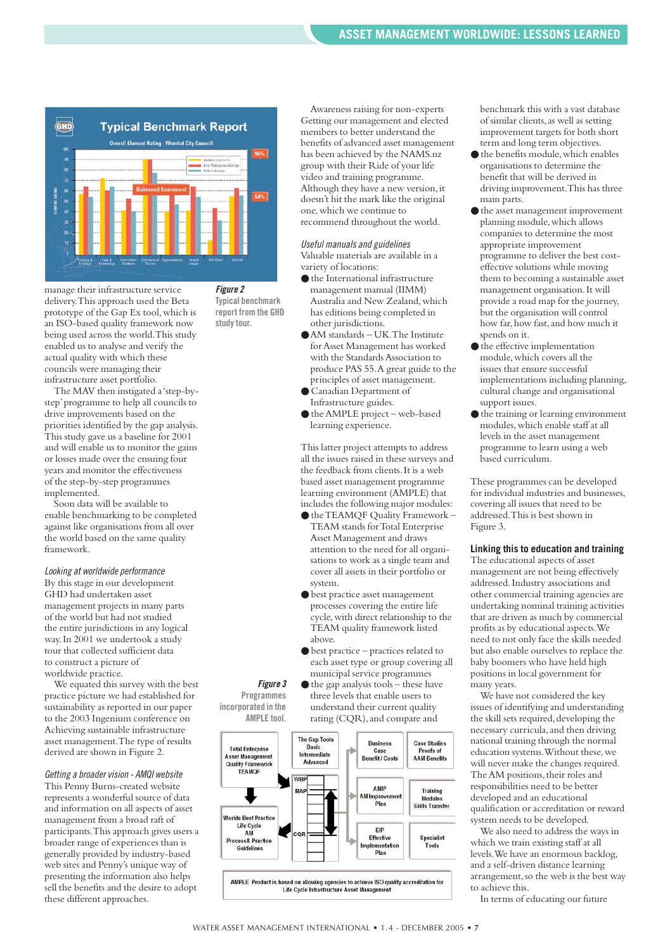

**Typical benchmark report from the GHD study tour.**

manage their infrastructure service delivery.This approach used the Beta prototype of the Gap Ex tool,which is an ISO-based quality framework now being used across the world.This study enabled us to analyse and verify the actual quality with which these councils were managing their infrastructure asset portfolio.

The MAV then instigated a 'step-bystep'programme to help all councils to drive improvements based on the priorities identified by the gap analysis. This study gave us a baseline for 2001 and will enable us to monitor the gains or losses made over the ensuing four years and monitor the effectiveness of the step-by-step programmes implemented.

Soon data will be available to enable benchmarking to be completed against like organisations from all over the world based on the same quality framework.

#### *Looking at worldwide performance*

By this stage in our development GHD had undertaken asset management projects in many parts of the world but had not studied the entire jurisdictions in any logical way.In 2001 we undertook a study tour that collected sufficient data to construct a picture of worldwide practice.

We equated this survey with the best practice picture we had established for sustainability as reported in our paper to the 2003 Ingenium conference on Achieving sustainable infrastructure asset management.The type of results derived are shown in Figure 2.

#### *Getting a broader vision - AMQI website*

This Penny Burns-created website represents a wonderful source of data and information on all aspects of asset management from a broad raft of participants.This approach gives users a broader range of experiences than is generally provided by industry-based web sites and Penny's unique way of presenting the information also helps sell the benefits and the desire to adopt these different approaches.

Awareness raising for non-experts Getting our management and elected members to better understand the benefits of advanced asset management has been achieved by the NAMS.nz group with their Ride of your life video and training programme. Although they have a new version, it doesn't hit the mark like the original one,which we continue to recommend throughout the world.

*Useful manuals and guidelines*  Valuable materials are available in a variety of locations:

- the International infrastructure management manual (IIMM) Australia and New Zealand,which has editions being completed in other jurisdictions.
- AM standards UK. The Institute for Asset Management has worked with the Standards Association to produce PAS 55.A great guide to the principles of asset management.
- Canadian Department of Infrastructure guides.
- the AMPLE project web-based learning experience.

This latter project attempts to address all the issues raised in these surveys and the feedback from clients.It is a web based asset management programme learning environment (AMPLE) that includes the following major modules:

- the TEAMOF Quality Framework -TEAM stands for Total Enterprise Asset Management and draws attention to the need for all organisations to work as a single team and cover all assets in their portfolio or system.
- best practice asset management processes covering the entire life cycle,with direct relationship to the TEAM quality framework listed above.
- $\bullet$  best practice practices related to each asset type or group covering all municipal service programmes
- $\bullet$  the gap analysis tools these have three levels that enable users to understand their current quality rating (CQR), and compare and



*Figure 3* **Programmes incorporated in the AMPLE tool.** benchmark this with a vast database of similar clients,as well as setting improvement targets for both short term and long term objectives.

- $\bullet$  the benefits module, which enables organisations to determine the benefit that will be derived in driving improvement.This has three main parts.
- the asset management improvement planning module, which allows companies to determine the most appropriate improvement programme to deliver the best costeffective solutions while moving them to becoming a sustainable asset management organisation.It will provide a road map for the journey, but the organisation will control how far, how fast, and how much it spends on it.
- $\bullet$  the effective implementation module,which covers all the issues that ensure successful implementations including planning, cultural change and organisational support issues.
- the training or learning environment modules,which enable staff at all levels in the asset management programme to learn using a web based curriculum.

These programmes can be developed for individual industries and businesses, covering all issues that need to be addressed.This is best shown in Figure 3.

#### **Linking this to education and training**

The educational aspects of asset management are not being effectively addressed.Industry associations and other commercial training agencies are undertaking nominal training activities that are driven as much by commercial profits as by educational aspects.We need to not only face the skills needed but also enable ourselves to replace the baby boomers who have held high positions in local government for many years.

We have not considered the key issues of identifying and understanding the skill sets required, developing the necessary curricula,and then driving national training through the normal education systems.Without these,we will never make the changes required. The AM positions, their roles and responsibilities need to be better developed and an educational qualification or accreditation or reward system needs to be developed.

We also need to address the ways in which we train existing staff at all levels.We have an enormous backlog, and a self-driven distance learning arrangement, so the web is the best way to achieve this.

In terms of educating our future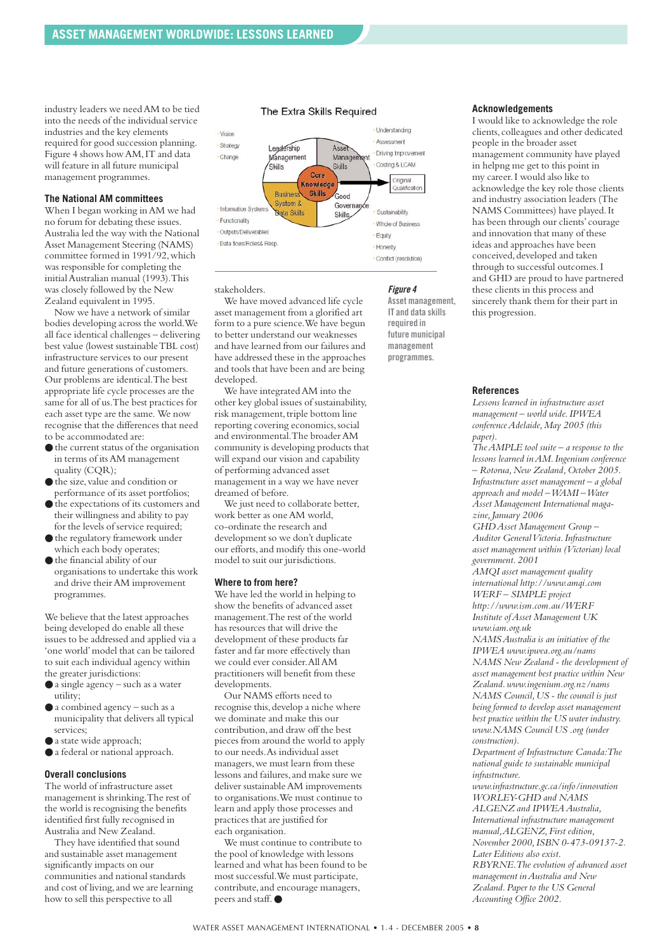industry leaders we need AM to be tied into the needs of the individual service industries and the key elements required for good succession planning. Figure 4 shows how AM,IT and data will feature in all future municipal management programmes.

#### **The National AM committees**

When I began working in AM we had no forum for debating these issues. Australia led the way with the National Asset Management Steering (NAMS) committee formed in 1991/92,which was responsible for completing the initial Australian manual (1993).This was closely followed by the New Zealand equivalent in 1995.

Now we have a network of similar bodies developing across the world.We all face identical challenges – delivering best value (lowest sustainable TBL cost) infrastructure services to our present and future generations of customers. Our problems are identical.The best appropriate life cycle processes are the same for all of us.The best practices for each asset type are the same. We now recognise that the differences that need to be accommodated are:

- the current status of the organisation in terms of its AM management quality (CQR);
- the size,value and condition or performance of its asset portfolios;
- $\bullet$  the expectations of its customers and their willingness and ability to pay for the levels of service required;
- the regulatory framework under which each body operates;
- the financial ability of our organisations to undertake this work and drive their AM improvement programmes.

We believe that the latest approaches being developed do enable all these issues to be addressed and applied via a 'one world'model that can be tailored to suit each individual agency within the greater jurisdictions:

- a single agency such as a water utility;
- a combined agency such as a municipality that delivers all typical services;
- a state wide approach;
- a federal or national approach.

#### **Overall conclusions**

The world of infrastructure asset management is shrinking.The rest of the world is recognising the benefits identified first fully recognised in Australia and New Zealand.

They have identified that sound and sustainable asset management significantly impacts on our communities and national standards and cost of living, and we are learning how to sell this perspective to all

#### The Extra Skills Required



stakeholders.

We have moved advanced life cycle asset management from a glorified art form to a pure science.We have begun to better understand our weaknesses and have learned from our failures and have addressed these in the approaches and tools that have been and are being developed.

We have integrated AM into the other key global issues of sustainability, risk management, triple bottom line reporting covering economics, social and environmental.The broader AM community is developing products that will expand our vision and capability of performing advanced asset management in a way we have never dreamed of before.

We just need to collaborate better, work better as one AM world, co-ordinate the research and development so we don't duplicate our efforts,and modify this one-world model to suit our jurisdictions.

#### **Where to from here?**

We have led the world in helping to show the benefits of advanced asset management.The rest of the world has resources that will drive the development of these products far faster and far more effectively than we could ever consider.All AM practitioners will benefit from these developments.

Our NAMS efforts need to recognise this, develop a niche where we dominate and make this our contribution,and draw off the best pieces from around the world to apply to our needs.As individual asset managers,we must learn from these lessons and failures, and make sure we deliver sustainable AM improvements to organisations.We must continue to learn and apply those processes and practices that are justified for each organisation.

We must continue to contribute to the pool of knowledge with lessons learned and what has been found to be most successful.We must participate, contribute,and encourage managers, peers and staff. ●

#### *Figure 4*

**Asset management, IT and data skills required in future municipal management programmes.**

#### **Acknowledgements**

I would like to acknowledge the role clients,colleagues and other dedicated people in the broader asset management community have played in helpng me get to this point in my career.I would also like to acknowledge the key role those clients and industry association leaders (The NAMS Committees) have played.It has been through our clients'courage and innovation that many of these ideas and approaches have been conceived, developed and taken through to successful outcomes.I and GHD are proud to have partnered these clients in this process and sincerely thank them for their part in this progression.

#### **References**

*Lessons learned in infrastructure asset management – world wide.IPWEA conference Adelaide,May 2005 (this paper).*

*The AMPLE tool suite – a response to the lessons learned in AM.Ingenium conference – Rotorua,New Zealand,October 2005. Infrastructure asset management – a global approach and model – WAMI – Water Asset Management International magazine,January 2006 GHD Asset Management Group –*

*Auditor General Victoria.Infrastructure asset management within (Victorian) local government.2001*

*AMQI asset management quality international http://www.amqi.com WERF – SIMPLE project http://www.ism.com.au/WERF*

*Institute of Asset Management UK www.iam.org.uk* 

*NAMS Australia is an initiative of the IPWEA www.ipwea.org.au/nams NAMS New Zealand - the development of asset management best practice within New Zealand.www.ingenium.org.nz/nams NAMS Council,US - the council is just being formed to develop asset management best practice within the US water industry. www.NAMS Council US .org (under construction).*

*Department of Infrastructure Canada:The national guide to sustainable municipal infrastructure.*

*www.infrastructure.gc.ca/info/innovation WORLEY-GHD and NAMS ALGENZ and IPWEA Australia, International infrastructure management manual,ALGENZ,First edition, November 2000,ISBN 0-473-09137-2. Later Editions also exist. RBYRNE.The evolution of advanced asset management in Australia and New Zealand.Paper to the US General*

*Accounting Office 2002.*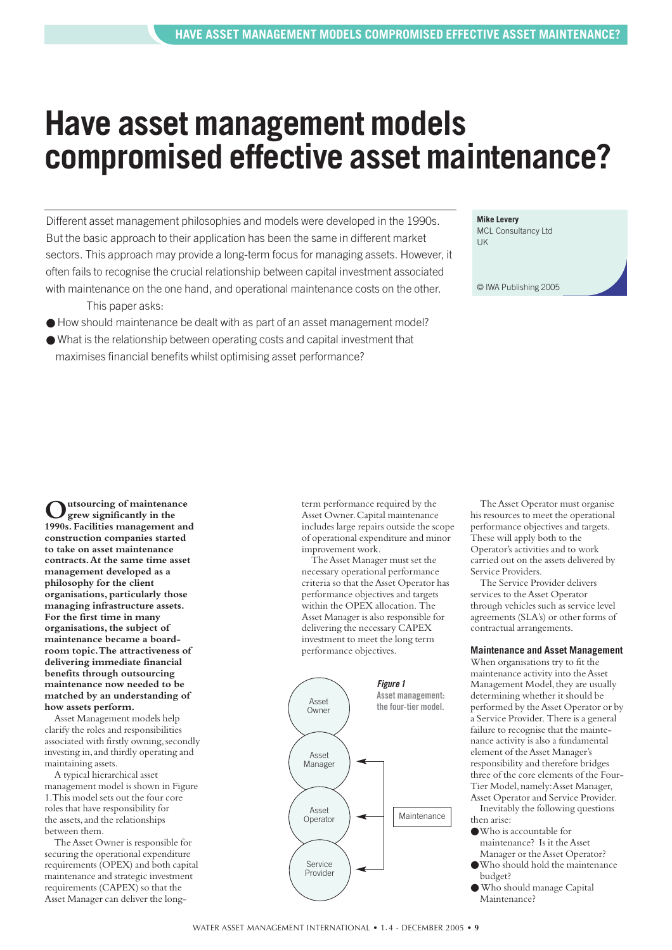### <span id="page-8-0"></span>**Have asset management models compromised effective asset maintenance?**

Different asset management philosophies and models were developed in the 1990s. But the basic approach to their application has been the same in different market sectors. This approach may provide a long-term focus for managing assets. However, it often fails to recognise the crucial relationship between capital investment associated with maintenance on the one hand, and operational maintenance costs on the other.

This paper asks:

- How should maintenance be dealt with as part of an asset management model?
- What is the relationship between operating costs and capital investment that maximises financial benefits whilst optimising asset performance?

**Mike Levery**  MCL Consultancy Ltd UK

© IWA Publishing 2005

**Outsourcing of maintenance grew significantly in the 1990s. Facilities management and construction companies started to take on asset maintenance contracts.At the same time asset management developed as a philosophy for the client organisations, particularly those managing infrastructure assets. For the first time in many organisations, the subject of maintenance became a boardroom topic.The attractiveness of delivering immediate financial benefits through outsourcing maintenance now needed to be matched by an understanding of how assets perform.**

Asset Management models help clarify the roles and responsibilities associated with firstly owning, secondly investing in, and thirdly operating and maintaining assets.

A typical hierarchical asset management model is shown in Figure 1.This model sets out the four core roles that have responsibility for the assets,and the relationships between them.

The Asset Owner is responsible for securing the operational expenditure requirements (OPEX) and both capital maintenance and strategic investment requirements (CAPEX) so that the Asset Manager can deliver the long-

term performance required by the Asset Owner.Capital maintenance includes large repairs outside the scope of operational expenditure and minor improvement work.

The Asset Manager must set the necessary operational performance criteria so that the Asset Operator has performance objectives and targets within the OPEX allocation. The Asset Manager is also responsible for delivering the necessary CAPEX investment to meet the long term performance objectives.



The Asset Operator must organise his resources to meet the operational performance objectives and targets. These will apply both to the Operator's activities and to work carried out on the assets delivered by Service Providers.

The Service Provider delivers services to the Asset Operator through vehicles such as service level agreements (SLA's) or other forms of contractual arrangements.

#### **Maintenance and Asset Management**

When organisations try to fit the maintenance activity into the Asset Management Model, they are usually determining whether it should be performed by the Asset Operator or by a Service Provider. There is a general failure to recognise that the maintenance activity is also a fundamental element of the Asset Manager's responsibility and therefore bridges three of the core elements of the Four-Tier Model,namely:Asset Manager, Asset Operator and Service Provider.

Inevitably the following questions then arise:

- ●Who is accountable for maintenance? Is it the Asset Manager or the Asset Operator?
- ●Who should hold the maintenance budget?
- Who should manage Capital Maintenance?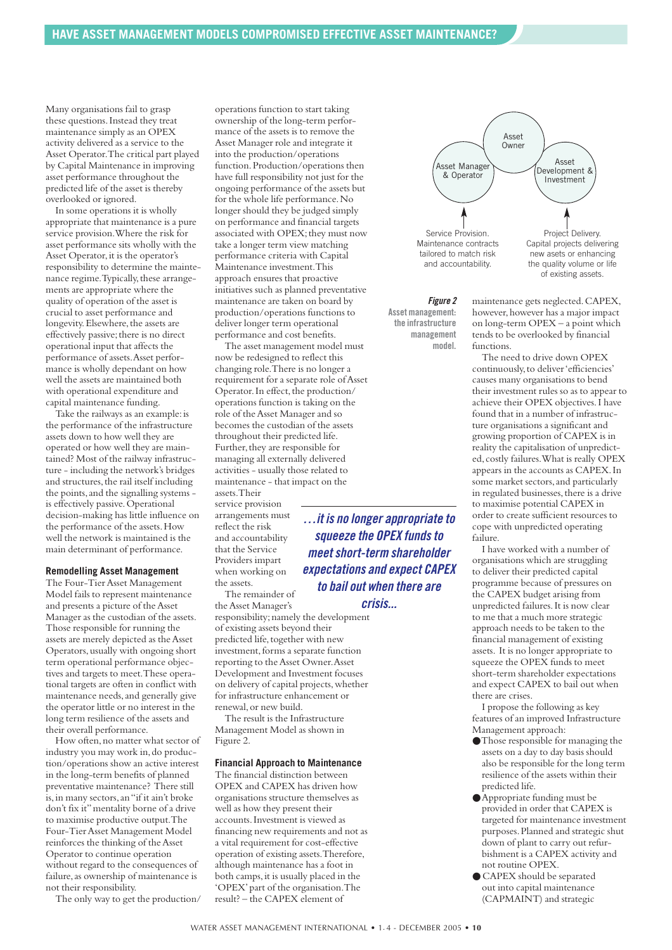Many organisations fail to grasp these questions.Instead they treat maintenance simply as an OPEX activity delivered as a service to the Asset Operator.The critical part played by Capital Maintenance in improving asset performance throughout the predicted life of the asset is thereby overlooked or ignored.

In some operations it is wholly appropriate that maintenance is a pure service provision.Where the risk for asset performance sits wholly with the Asset Operator, it is the operator's responsibility to determine the maintenance regime. Typically, these arrangements are appropriate where the quality of operation of the asset is crucial to asset performance and longevity. Elsewhere, the assets are effectively passive; there is no direct operational input that affects the performance of assets.Asset performance is wholly dependant on how well the assets are maintained both with operational expenditure and capital maintenance funding.

Take the railways as an example: is the performance of the infrastructure assets down to how well they are operated or how well they are maintained? Most of the railway infrastructure - including the network's bridges and structures, the rail itself including the points,and the signalling systems is effectively passive. Operational decision-making has little influence on the performance of the assets.How well the network is maintained is the main determinant of performance.

#### **Remodelling Asset Management**

The Four-Tier Asset Management Model fails to represent maintenance and presents a picture of the Asset Manager as the custodian of the assets. Those responsible for running the assets are merely depicted as the Asset Operators,usually with ongoing short term operational performance objectives and targets to meet.These operational targets are often in conflict with maintenance needs,and generally give the operator little or no interest in the long term resilience of the assets and their overall performance.

How often, no matter what sector of industry you may work in,do production/operations show an active interest in the long-term benefits of planned preventative maintenance? There still is,in many sectors,an "if it ain't broke don't fix it"mentality borne of a drive to maximise productive output.The Four-Tier Asset Management Model reinforces the thinking of the Asset Operator to continue operation without regard to the consequences of failure, as ownership of maintenance is not their responsibility.

The only way to get the production/

operations function to start taking ownership of the long-term performance of the assets is to remove the Asset Manager role and integrate it into the production/operations function.Production/operations then have full responsibility not just for the ongoing performance of the assets but for the whole life performance.No longer should they be judged simply on performance and financial targets associated with OPEX; they must now take a longer term view matching performance criteria with Capital Maintenance investment.This approach ensures that proactive initiatives such as planned preventative maintenance are taken on board by production/operations functions to deliver longer term operational performance and cost benefits.

The asset management model must now be redesigned to reflect this changing role.There is no longer a requirement for a separate role of Asset Operator. In effect, the production/ operations function is taking on the role of the Asset Manager and so becomes the custodian of the assets throughout their predicted life. Further, they are responsible for managing all externally delivered activities - usually those related to maintenance - that impact on the assets. Their

service provision arrangements must reflect the risk and accountability that the Service Providers impart when working on the assets.

The remainder of the Asset Manager's

responsibility; namely the development of existing assets beyond their predicted life, together with new investment, forms a separate function reporting to the Asset Owner.Asset Development and Investment focuses on delivery of capital projects,whether for infrastructure enhancement or renewal,or new build.

The result is the Infrastructure Management Model as shown in Figure 2.

#### **Financial Approach to Maintenance**

The financial distinction between OPEX and CAPEX has driven how organisations structure themselves as well as how they present their accounts.Investment is viewed as financing new requirements and not as a vital requirement for cost-effective operation of existing assets.Therefore, although maintenance has a foot in both camps, it is usually placed in the 'OPEX'part of the organisation.The result? – the CAPEX element of



*Figure 2* **Asset management: the infrastructure management model.**

maintenance gets neglected.CAPEX, however,however has a major impact on long-term OPEX – a point which tends to be overlooked by financial functions.

The need to drive down OPEX continuously,to deliver 'efficiencies' causes many organisations to bend their investment rules so as to appear to achieve their OPEX objectives.I have found that in a number of infrastructure organisations a significant and growing proportion of CAPEX is in reality the capitalisation of unpredicted,costly failures.What is really OPEX appears in the accounts as CAPEX.In some market sectors, and particularly in regulated businesses, there is a drive to maximise potential CAPEX in order to create sufficient resources to cope with unpredicted operating failure.

I have worked with a number of organisations which are struggling to deliver their predicted capital programme because of pressures on the CAPEX budget arising from unpredicted failures.It is now clear to me that a much more strategic approach needs to be taken to the financial management of existing assets. It is no longer appropriate to squeeze the OPEX funds to meet short-term shareholder expectations and expect CAPEX to bail out when there are crises.

I propose the following as key features of an improved Infrastructure Management approach:

- ●Those responsible for managing the assets on a day to day basis should also be responsible for the long term resilience of the assets within their predicted life.
- ●Appropriate funding must be provided in order that CAPEX is targeted for maintenance investment purposes.Planned and strategic shut down of plant to carry out refurbishment is a CAPEX activity and not routine OPEX.
- CAPEX should be separated out into capital maintenance (CAPMAINT) and strategic

*expectations and expect CAPEX to bail out when there are crisis...*

*…it is no longer appropriate to squeeze the OPEX funds to meet short-term shareholder*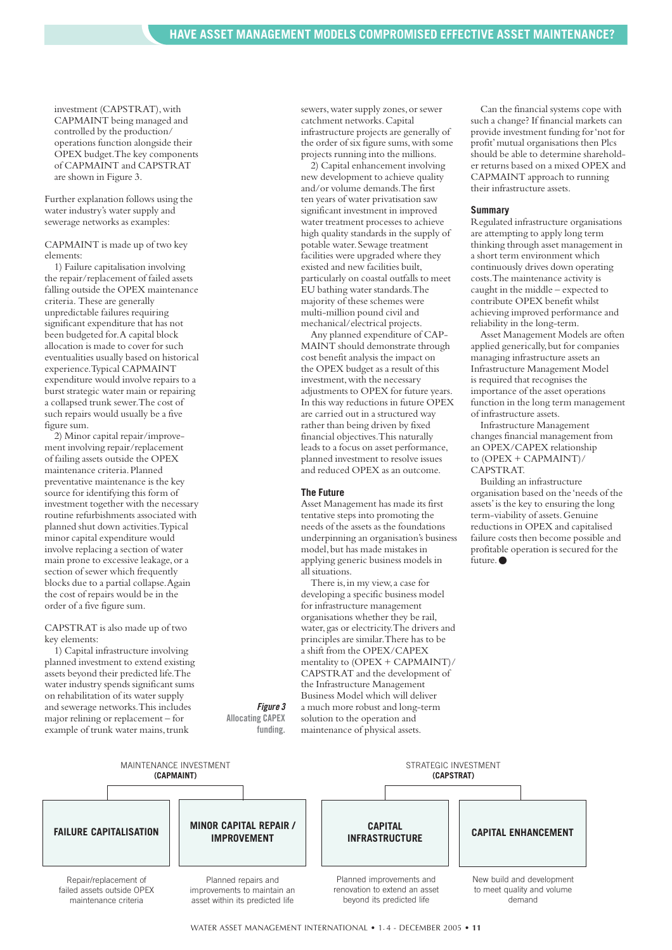investment (CAPSTRAT),with CAPMAINT being managed and controlled by the production/ operations function alongside their OPEX budget.The key components of CAPMAINT and CAPSTRAT are shown in Figure 3.

Further explanation follows using the water industry's water supply and sewerage networks as examples:

CAPMAINT is made up of two key elements:

1) Failure capitalisation involving the repair/replacement of failed assets falling outside the OPEX maintenance criteria. These are generally unpredictable failures requiring significant expenditure that has not been budgeted for.A capital block allocation is made to cover for such eventualities usually based on historical experience.Typical CAPMAINT expenditure would involve repairs to a burst strategic water main or repairing a collapsed trunk sewer.The cost of such repairs would usually be a five figure sum.

2) Minor capital repair/improvement involving repair/replacement of failing assets outside the OPEX maintenance criteria.Planned preventative maintenance is the key source for identifying this form of investment together with the necessary routine refurbishments associated with planned shut down activities.Typical minor capital expenditure would involve replacing a section of water main prone to excessive leakage, or a section of sewer which frequently blocks due to a partial collapse.Again the cost of repairs would be in the order of a five figure sum.

#### CAPSTRAT is also made up of two key elements:

1) Capital infrastructure involving planned investment to extend existing assets beyond their predicted life.The water industry spends significant sums on rehabilitation of its water supply and sewerage networks.This includes major relining or replacement – for example of trunk water mains, trunk

sewers,water supply zones,or sewer catchment networks.Capital infrastructure projects are generally of the order of six figure sums, with some projects running into the millions.

2) Capital enhancement involving new development to achieve quality and/or volume demands.The first ten years of water privatisation saw significant investment in improved water treatment processes to achieve high quality standards in the supply of potable water.Sewage treatment facilities were upgraded where they existed and new facilities built, particularly on coastal outfalls to meet EU bathing water standards.The majority of these schemes were multi-million pound civil and mechanical/electrical projects.

Any planned expenditure of CAP-MAINT should demonstrate through cost benefit analysis the impact on the OPEX budget as a result of this investment,with the necessary adjustments to OPEX for future years. In this way reductions in future OPEX are carried out in a structured way rather than being driven by fixed financial objectives.This naturally leads to a focus on asset performance, planned investment to resolve issues and reduced OPEX as an outcome.

#### **The Future**

Asset Management has made its first tentative steps into promoting the needs of the assets as the foundations underpinning an organisation's business model,but has made mistakes in applying generic business models in all situations.

There is, in my view, a case for developing a specific business model for infrastructure management organisations whether they be rail, water,gas or electricity.The drivers and principles are similar.There has to be a shift from the OPEX/CAPEX mentality to (OPEX + CAPMAINT)/ CAPSTRAT and the development of the Infrastructure Management Business Model which will deliver a much more robust and long-term solution to the operation and

maintenance of physical assets.

*Figure 3* **Allocating CAPEX funding.**

Can the financial systems cope with such a change? If financial markets can provide investment funding for 'not for profit'mutual organisations then Plcs should be able to determine shareholder returns based on a mixed OPEX and CAPMAINT approach to running their infrastructure assets.

#### **Summary**

Regulated infrastructure organisations are attempting to apply long term thinking through asset management in a short term environment which continuously drives down operating costs.The maintenance activity is caught in the middle – expected to contribute OPEX benefit whilst achieving improved performance and reliability in the long-term.

Asset Management Models are often applied generically,but for companies managing infrastructure assets an Infrastructure Management Model is required that recognises the importance of the asset operations function in the long term management of infrastructure assets.

Infrastructure Management changes financial management from an OPEX/CAPEX relationship to (OPEX + CAPMAINT)/ CAPSTRAT.

Building an infrastructure organisation based on the 'needs of the assets'is the key to ensuring the long term-viability of assets.Genuine reductions in OPEX and capitalised failure costs then become possible and profitable operation is secured for the future.●

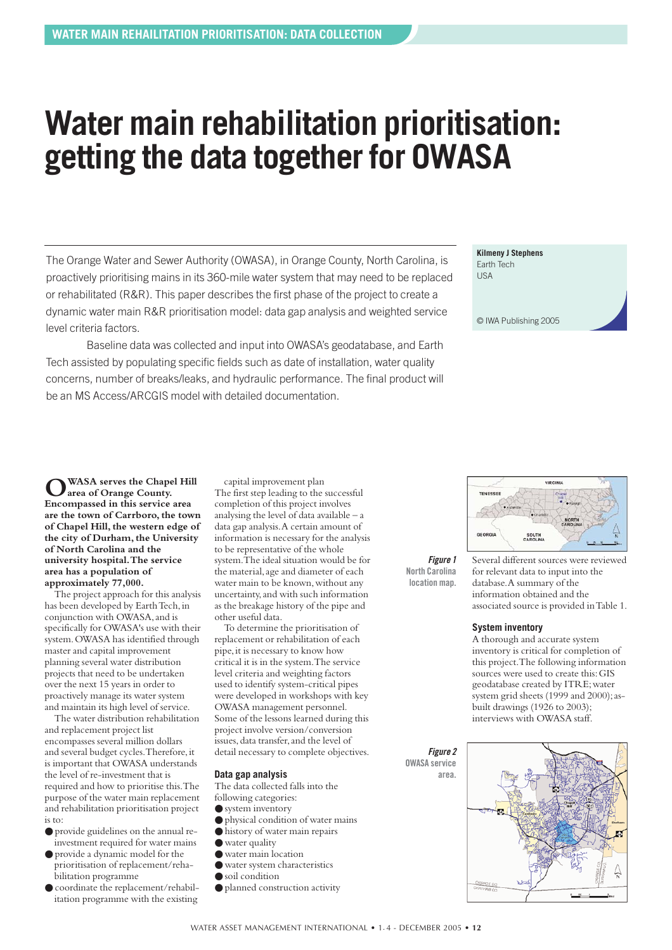### <span id="page-11-0"></span>**Water main rehabilitation prioritisation: getting the data together for OWASA**

The Orange Water and Sewer Authority (OWASA), in Orange County, North Carolina, is proactively prioritising mains in its 360-mile water system that may need to be replaced or rehabilitated (R&R). This paper describes the first phase of the project to create a dynamic water main R&R prioritisation model: data gap analysis and weighted service level criteria factors.

Baseline data was collected and input into OWASA's geodatabase, and Earth Tech assisted by populating specific fields such as date of installation, water quality concerns, number of breaks/leaks, and hydraulic performance. The final product will be an MS Access/ARCGIS model with detailed documentation.

**Kilmeny J Stephens** Earth Tech USA

© IWA Publishing 2005

WASA serves the Chapel Hill **area of Orange County. Encompassed in this service area are the town of Carrboro,the town of Chapel Hill, the western edge of the city of Durham, the University of North Carolina and the university hospital.The service area has a population of approximately 77,000.**

The project approach for this analysis has been developed by Earth Tech, in conjunction with OWASA,and is specifically for OWASA's use with their system.OWASA has identified through master and capital improvement planning several water distribution projects that need to be undertaken over the next 15 years in order to proactively manage its water system and maintain its high level of service.

The water distribution rehabilitation and replacement project list encompasses several million dollars and several budget cycles.Therefore,it is important that OWASA understands the level of re-investment that is required and how to prioritise this.The purpose of the water main replacement and rehabilitation prioritisation project is to:

- provide guidelines on the annual reinvestment required for water mains
- provide a dynamic model for the prioritisation of replacement/rehabilitation programme
- coordinate the replacement/rehabilitation programme with the existing

capital improvement plan The first step leading to the successful completion of this project involves analysing the level of data available – a data gap analysis.A certain amount of information is necessary for the analysis to be representative of the whole system.The ideal situation would be for the material,age and diameter of each water main to be known, without any uncertainty,and with such information as the breakage history of the pipe and other useful data.

To determine the prioritisation of replacement or rehabilitation of each pipe,it is necessary to know how critical it is in the system.The service level criteria and weighting factors used to identify system-critical pipes were developed in workshops with key OWASA management personnel. Some of the lessons learned during this project involve version/conversion issues, data transfer, and the level of detail necessary to complete objectives.

#### **Data gap analysis**

The data collected falls into the following categories:

- system inventory
- physical condition of water mains
- history of water main repairs
- water quality
- water main location
- water system characteristics
- soil condition
- planned construction activity



TENESSEE

Several different sources were reviewed for relevant data to input into the database.A summary of the information obtained and the associated source is provided in Table 1.

#### **System inventory**

A thorough and accurate system inventory is critical for completion of this project.The following information sources were used to create this:GIS geodatabase created by ITRE;water system grid sheets (1999 and 2000); asbuilt drawings (1926 to 2003); interviews with OWASA staff.

*Figure 2* **OWASA service area.**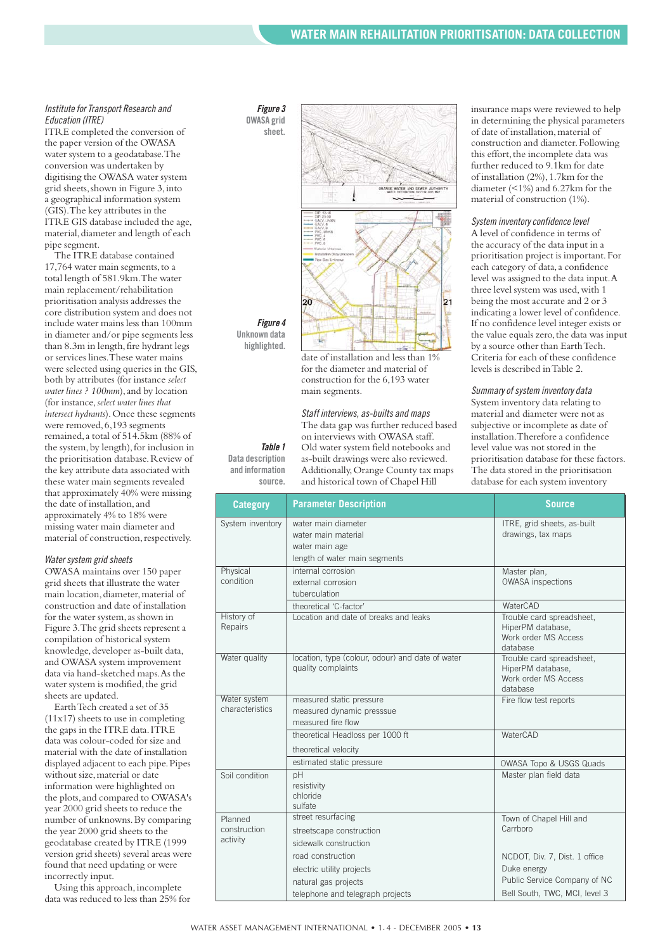#### *Institute for Transport Research and Education (ITRE)*

ITRE completed the conversion of the paper version of the OWASA water system to a geodatabase.The conversion was undertaken by digitising the OWASA water system grid sheets, shown in Figure 3, into a geographical information system (GIS).The key attributes in the ITRE GIS database included the age, material, diameter and length of each pipe segment.

The ITRE database contained 17,764 water main segments, to a total length of 581.9km.The water main replacement/rehabilitation prioritisation analysis addresses the core distribution system and does not include water mains less than 100mm in diameter and/or pipe segments less than 8.3m in length, fire hydrant legs or services lines.These water mains were selected using queries in the GIS, both by attributes (for instance *select* water lines ? 100mm), and by location (for instance,*select water lines that intersect hydrants*).Once these segments were removed,6,193 segments remained,a total of 514.5km (88% of the system, by length), for inclusion in the prioritisation database.Review of the key attribute data associated with these water main segments revealed that approximately 40% were missing the date of installation,and approximately 4% to 18% were missing water main diameter and material of construction, respectively.

#### *Water system grid sheets*

OWASA maintains over 150 paper grid sheets that illustrate the water main location, diameter, material of construction and date of installation for the water system, as shown in Figure 3.The grid sheets represent a compilation of historical system knowledge, developer as-built data, and OWASA system improvement data via hand-sketched maps.As the water system is modified, the grid sheets are updated.

Earth Tech created a set of 35 (11x17) sheets to use in completing the gaps in the ITRE data. ITRE data was colour-coded for size and material with the date of installation displayed adjacent to each pipe.Pipes without size, material or date information were highlighted on the plots,and compared to OWASA's year 2000 grid sheets to reduce the number of unknowns.By comparing the year 2000 grid sheets to the geodatabase created by ITRE (1999 version grid sheets) several areas were found that need updating or were incorrectly input.

Using this approach, incomplete data was reduced to less than 25% for





*Figure 4* **Unknown data highlighted.**

*Table 1* **Data description and information source.**

date of installation and less than 1% for the diameter and material of construction for the 6,193 water main segments.

*Staff interviews, as-builts and maps* The data gap was further reduced based on interviews with OWASA staff. Old water system field notebooks and as-built drawings were also reviewed. Additionally,Orange County tax maps and historical town of Chapel Hill

insurance maps were reviewed to help in determining the physical parameters of date of installation,material of construction and diameter.Following this effort, the incomplete data was further reduced to 9.1km for date of installation (2%),1.7km for the diameter (<1%) and 6.27km for the material of construction (1%).

#### *System inventory confidence level*

A level of confidence in terms of the accuracy of the data input in a prioritisation project is important.For each category of data, a confidence level was assigned to the data input.A three level system was used,with 1 being the most accurate and 2 or 3 indicating a lower level of confidence. If no confidence level integer exists or the value equals zero, the data was input by a source other than Earth Tech. Criteria for each of these confidence levels is described in Table 2.

*Summary of system inventory data* System inventory data relating to material and diameter were not as subjective or incomplete as date of installation.Therefore a confidence level value was not stored in the prioritisation database for these factors. The data stored in the prioritisation database for each system inventory

| <b>Category</b>                     | <b>Parameter Description</b>                                                                               | <b>Source</b>                                                                                                 |
|-------------------------------------|------------------------------------------------------------------------------------------------------------|---------------------------------------------------------------------------------------------------------------|
| System inventory                    | water main diameter<br>water main material<br>water main age<br>length of water main segments              | ITRE, grid sheets, as-built<br>drawings, tax maps                                                             |
| Physical<br>condition               | internal corrosion<br>external corrosion<br>tuberculation                                                  | Master plan,<br><b>OWASA</b> inspections                                                                      |
| History of<br>Repairs               | theoretical 'C-factor'<br>Location and date of breaks and leaks                                            | WaterCAD<br>Trouble card spreadsheet.<br>HiperPM database,<br>Work order MS Access<br>database                |
| Water quality                       | location, type (colour, odour) and date of water<br>quality complaints                                     | Trouble card spreadsheet.<br>HiperPM database,<br>Work order MS Access<br>database                            |
| Water system<br>characteristics     | measured static pressure<br>measured dynamic presssue<br>measured fire flow                                | Fire flow test reports                                                                                        |
|                                     | theoretical Headloss per 1000 ft<br>theoretical velocity                                                   | WaterCAD                                                                                                      |
| Soil condition                      | estimated static pressure<br>pH<br>resistivity<br>chloride<br>sulfate                                      | OWASA Topo & USGS Quads<br>Master plan field data                                                             |
| Planned<br>construction<br>activity | street resurfacing<br>streetscape construction<br>sidewalk construction                                    | Town of Chapel Hill and<br>Carrboro                                                                           |
|                                     | road construction<br>electric utility projects<br>natural gas projects<br>telephone and telegraph projects | NCDOT, Div. 7, Dist. 1 office<br>Duke energy<br>Public Service Company of NC<br>Bell South, TWC, MCI, level 3 |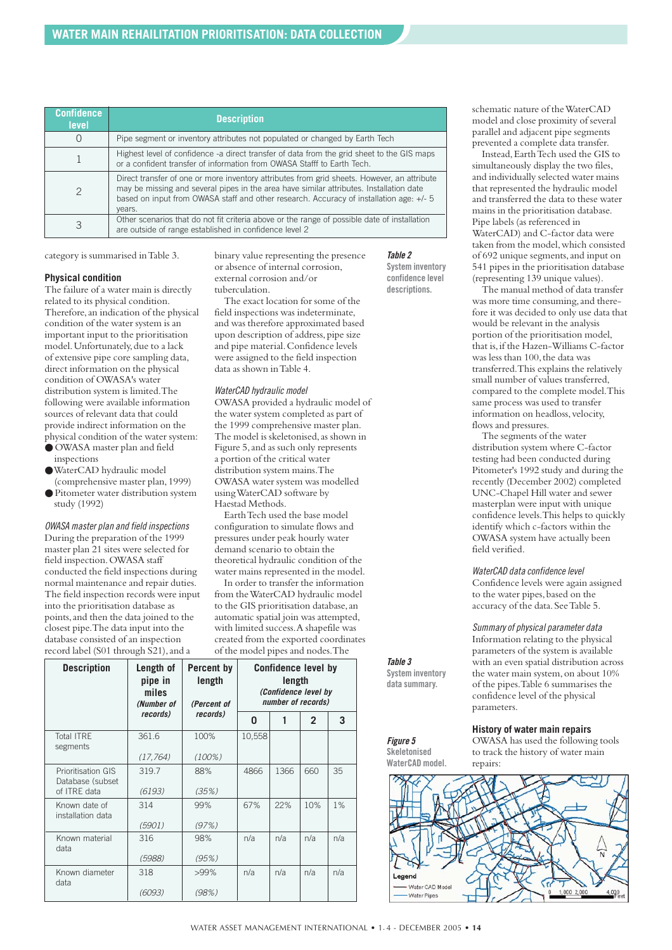| <b>Confidence</b><br><b>level</b> | <b>Description</b>                                                                                                                                                                                                                                                                          |
|-----------------------------------|---------------------------------------------------------------------------------------------------------------------------------------------------------------------------------------------------------------------------------------------------------------------------------------------|
| O                                 | Pipe segment or inventory attributes not populated or changed by Earth Tech                                                                                                                                                                                                                 |
|                                   | Highest level of confidence -a direct transfer of data from the grid sheet to the GIS maps<br>or a confident transfer of information from OWASA Stafff to Earth Tech.                                                                                                                       |
| $\mathcal{P}$                     | Direct transfer of one or more inventory attributes from grid sheets. However, an attribute<br>may be missing and several pipes in the area have similar attributes. Installation date<br>based on input from OWASA staff and other research. Accuracy of installation age: +/- 5<br>years. |
| 3                                 | Other scenarios that do not fit criteria above or the range of possible date of installation<br>are outside of range established in confidence level 2                                                                                                                                      |

category is summarised in Table 3.

#### **Physical condition**

The failure of a water main is directly related to its physical condition. Therefore,an indication of the physical condition of the water system is an important input to the prioritisation model.Unfortunately,due to a lack of extensive pipe core sampling data, direct information on the physical condition of OWASA's water distribution system is limited.The following were available information sources of relevant data that could provide indirect information on the physical condition of the water system:

- OWASA master plan and field inspections
- ●WaterCAD hydraulic model (comprehensive master plan,1999)
- Pitometer water distribution system study (1992)

*OWASA master plan and field inspections* During the preparation of the 1999 master plan 21 sites were selected for field inspection. OWASA staff conducted the field inspections during normal maintenance and repair duties. The field inspection records were input into the prioritisation database as points,and then the data joined to the closest pipe.The data input into the database consisted of an inspection record label (S01 through  $\overline{S21}$ ), and a

binary value representing the presence or absence of internal corrosion, external corrosion and/or tuberculation.

The exact location for some of the field inspections was indeterminate, and was therefore approximated based upon description of address, pipe size and pipe material.Confidence levels were assigned to the field inspection data as shown in Table 4.

#### *WaterCAD hydraulic model*

OWASA provided a hydraulic model of the water system completed as part of the 1999 comprehensive master plan. The model is skeletonised, as shown in Figure 5,and as such only represents a portion of the critical water distribution system mains.The OWASA water system was modelled using WaterCAD software by Haestad Methods.

Earth Tech used the base model configuration to simulate flows and pressures under peak hourly water demand scenario to obtain the theoretical hydraulic condition of the water mains represented in the model.

In order to transfer the information from the WaterCAD hydraulic model to the GIS prioritisation database,an automatic spatial join was attempted, with limited success.A shapefile was created from the exported coordinates of the model pipes and nodes.The

| <b>Description</b>                             | Length of<br>Percent by<br>pipe in<br>length<br>miles<br>(Number of<br>(Percent of |                  | <b>Confidence level by</b><br>length<br>(Confidence level by<br>number of records) |      |                |     |  |
|------------------------------------------------|------------------------------------------------------------------------------------|------------------|------------------------------------------------------------------------------------|------|----------------|-----|--|
|                                                | records)                                                                           | <i>records</i> ) | 0                                                                                  |      | $\overline{2}$ | 3   |  |
| <b>Total ITRE</b><br>segments                  | 361.6                                                                              | 100%             | 10,558                                                                             |      |                |     |  |
|                                                | (17, 764)                                                                          | $(100\%)$        |                                                                                    |      |                |     |  |
| <b>Prioritisation GIS</b><br>Database (subset) | 319.7                                                                              | 88%              | 4866                                                                               | 1366 | 660            | 35  |  |
| of ITRE data                                   | (6193)                                                                             | (35%)            |                                                                                    |      |                |     |  |
| Known date of<br>installation data             | 314                                                                                | 99%              | 67%                                                                                | 22%  | 10%            | 1%  |  |
|                                                | (5901)                                                                             | (97%)            |                                                                                    |      |                |     |  |
| Known material<br>data                         | 316                                                                                | 98%              | n/a                                                                                | n/a  | n/a            | n/a |  |
|                                                | (5988)                                                                             | (95%)            |                                                                                    |      |                |     |  |
| Known diameter<br>data                         | 318                                                                                | $>99\%$          | n/a                                                                                | n/a  | n/a            | n/a |  |
|                                                | (6093)                                                                             | (98%)            |                                                                                    |      |                |     |  |

schematic nature of the WaterCAD model and close proximity of several parallel and adjacent pipe segments prevented a complete data transfer.

Instead,Earth Tech used the GIS to simultaneously display the two files, and individually selected water mains that represented the hydraulic model and transferred the data to these water mains in the prioritisation database. Pipe labels (as referenced in WaterCAD) and C-factor data were taken from the model,which consisted of 692 unique segments,and input on 541 pipes in the prioritisation database (representing 139 unique values).

The manual method of data transfer was more time consuming, and therefore it was decided to only use data that would be relevant in the analysis portion of the prioritisation model, that is,if the Hazen-Williams C-factor was less than 100, the data was transferred.This explains the relatively small number of values transferred, compared to the complete model.This same process was used to transfer information on headloss, velocity, flows and pressures.

The segments of the water distribution system where C-factor testing had been conducted during Pitometer's 1992 study and during the recently (December 2002) completed UNC-Chapel Hill water and sewer masterplan were input with unique confidence levels.This helps to quickly identify which c-factors within the OWASA system have actually been field verified.

#### *WaterCAD data confidence level*

Confidence levels were again assigned to the water pipes, based on the accuracy of the data.See Table 5.

#### *Summary of physical parameter data*

Information relating to the physical parameters of the system is available with an even spatial distribution across the water main system, on about 10% of the pipes.Table 6 summarises the confidence level of the physical parameters.

#### **History of water main repairs**

OWASA has used the following tools to track the history of water main repairs: **Skeletonised**

*Table 3* **System inventory data summary.**

*Figure 5*

*Table 2* **System inventory confidence level descriptions.**



WATER ASSET MANAGEMENT INTERNATIONAL • 1. 4 - DECEMBER 2005 • **14**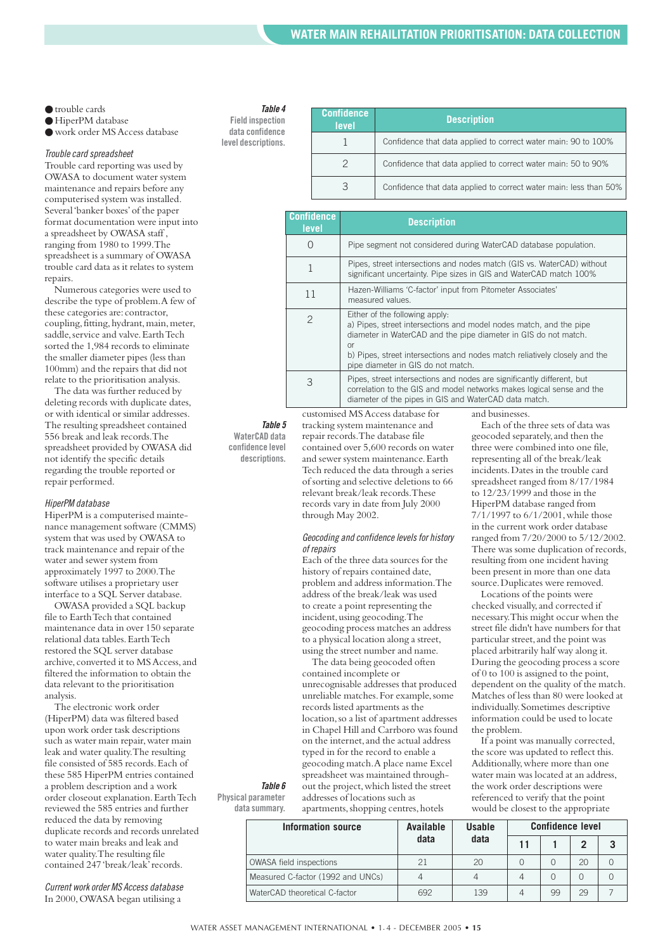- trouble cards
- HiperPM database

● work order MS Access database

#### *Trouble card spreadsheet*

Trouble card reporting was used by OWASA to document water system maintenance and repairs before any computerised system was installed. Several 'banker boxes'of the paper format documentation were input into a spreadsheet by OWASA staff , ranging from 1980 to 1999.The spreadsheet is a summary of OWASA trouble card data as it relates to system repairs.

Numerous categories were used to describe the type of problem.A few of these categories are:contractor, coupling, fitting, hydrant, main, meter, saddle, service and valve. Earth Tech sorted the 1,984 records to eliminate the smaller diameter pipes (less than 100mm) and the repairs that did not relate to the prioritisation analysis.

The data was further reduced by deleting records with duplicate dates, or with identical or similar addresses. The resulting spreadsheet contained 556 break and leak records.The spreadsheet provided by OWASA did not identify the specific details regarding the trouble reported or repair performed.

#### *HiperPM database*

HiperPM is a computerised maintenance management software (CMMS) system that was used by OWASA to track maintenance and repair of the water and sewer system from approximately 1997 to 2000.The software utilises a proprietary user interface to a SQL Server database.

OWASA provided a SQL backup file to Earth Tech that contained maintenance data in over 150 separate relational data tables.Earth Tech restored the SQL server database archive, converted it to MS Access, and filtered the information to obtain the data relevant to the prioritisation analysis.

The electronic work order (HiperPM) data was filtered based upon work order task descriptions such as water main repair, water main leak and water quality.The resulting file consisted of 585 records.Each of these 585 HiperPM entries contained a problem description and a work order closeout explanation.Earth Tech reviewed the 585 entries and further reduced the data by removing duplicate records and records unrelated to water main breaks and leak and water quality.The resulting file contained 247 'break/leak'records.

*Current work order MS Access database* In 2000,OWASA began utilising a

#### *Table 4*

**Field inspection data confidence level descriptions.**

| Confidence<br>level | <b>Description</b>                                                |
|---------------------|-------------------------------------------------------------------|
|                     | Confidence that data applied to correct water main: 90 to 100%    |
| $\mathcal{P}$       | Confidence that data applied to correct water main: 50 to 90%     |
| 3                   | Confidence that data applied to correct water main: less than 50% |

| <b>Description</b>                                                                                                                                                                                                                                                                                |
|---------------------------------------------------------------------------------------------------------------------------------------------------------------------------------------------------------------------------------------------------------------------------------------------------|
| Pipe segment not considered during WaterCAD database population.                                                                                                                                                                                                                                  |
| Pipes, street intersections and nodes match (GIS vs. WaterCAD) without<br>significant uncertainty. Pipe sizes in GIS and WaterCAD match 100%                                                                                                                                                      |
| Hazen-Williams 'C-factor' input from Pitometer Associates'<br>measured values.                                                                                                                                                                                                                    |
| Either of the following apply:<br>a) Pipes, street intersections and model nodes match, and the pipe<br>diameter in WaterCAD and the pipe diameter in GIS do not match.<br>or<br>b) Pipes, street intersections and nodes match reliatively closely and the<br>pipe diameter in GIS do not match. |
| Pipes, street intersections and nodes are significantly different, but<br>correlation to the GIS and model networks makes logical sense and the<br>diameter of the pipes in GIS and WaterCAD data match.                                                                                          |
|                                                                                                                                                                                                                                                                                                   |

*Table 5* **WaterCAD data confidence level descriptions.**

tracking system maintenance and repair records.The database file contained over 5,600 records on water and sewer system maintenance.Earth Tech reduced the data through a series of sorting and selective deletions to 66 relevant break/leak records.These records vary in date from July 2000 through May 2002.

#### *Geocoding and confidence levels for history of repairs*

Each of the three data sources for the history of repairs contained date, problem and address information.The address of the break/leak was used to create a point representing the incident, using geocoding. The geocoding process matches an address to a physical location along a street, using the street number and name.

The data being geocoded often contained incomplete or unrecognisable addresses that produced unreliable matches.For example,some records listed apartments as the location,so a list of apartment addresses in Chapel Hill and Carrboro was found on the internet,and the actual address typed in for the record to enable a geocoding match.A place name Excel spreadsheet was maintained throughout the project,which listed the street addresses of locations such as apartments, shopping centres, hotels

**Physical parameter data summary.**

*Table 6*

| Information source                | Available | <b>Usable</b> | <b>Confidence level</b> |    |    |  |
|-----------------------------------|-----------|---------------|-------------------------|----|----|--|
|                                   | data      | data          | 11                      |    |    |  |
| <b>OWASA field inspections</b>    | 21        | 20            |                         |    | 20 |  |
| Measured C-factor (1992 and UNCs) |           |               |                         |    |    |  |
| WaterCAD theoretical C-factor     | 692       | 139           |                         | 99 | 29 |  |

Each of the three sets of data was geocoded separately,and then the three were combined into one file, representing all of the break/leak incidents.Dates in the trouble card spreadsheet ranged from 8/17/1984 to 12/23/1999 and those in the HiperPM database ranged from 7/1/1997 to 6/1/2001,while those in the current work order database ranged from 7/20/2000 to 5/12/2002. There was some duplication of records, resulting from one incident having been present in more than one data source.Duplicates were removed.

Locations of the points were checked visually, and corrected if necessary.This might occur when the street file didn't have numbers for that particular street, and the point was placed arbitrarily half way along it. During the geocoding process a score of 0 to 100 is assigned to the point, dependent on the quality of the match. Matches of less than 80 were looked at individually.Sometimes descriptive information could be used to locate the problem.

If a point was manually corrected, the score was updated to reflect this. Additionally,where more than one water main was located at an address, the work order descriptions were referenced to verify that the point would be closest to the appropriate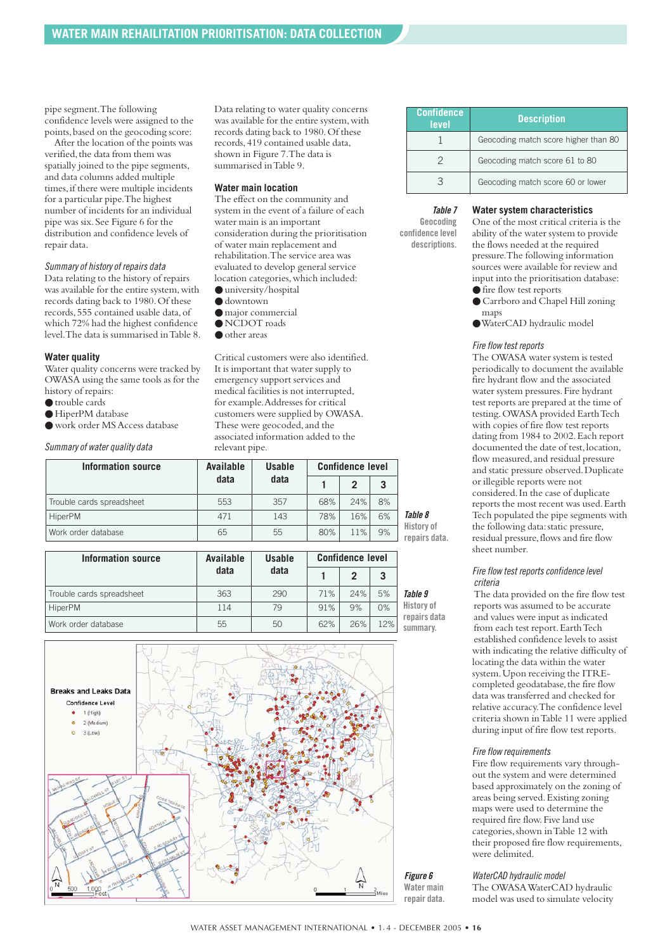pipe segment.The following confidence levels were assigned to the points,based on the geocoding score:

After the location of the points was verified, the data from them was spatially joined to the pipe segments, and data columns added multiple times, if there were multiple incidents for a particular pipe.The highest number of incidents for an individual pipe was six.See Figure 6 for the distribution and confidence levels of repair data.

#### *Summary of history of repairs data*

Data relating to the history of repairs was available for the entire system, with records dating back to 1980.Of these records,555 contained usable data,of which 72% had the highest confidence level.The data is summarised in Table 8.

#### **Water quality**

Water quality concerns were tracked by OWASA using the same tools as for the history of repairs:

- trouble cards
- HiperPM database
- work order MS Access database
- 

*Summary of water quality data*

Data relating to water quality concerns was available for the entire system, with records dating back to 1980.Of these records,419 contained usable data, shown in Figure 7.The data is summarised in Table 9.

#### **Water main location**

The effect on the community and system in the event of a failure of each water main is an important consideration during the prioritisation of water main replacement and rehabilitation.The service area was evaluated to develop general service location categories, which included: ● university/hospital

- 
- $\bullet$  downtown ● major commercial
- NCDOT roads
- other areas

Critical customers were also identified. It is important that water supply to emergency support services and medical facilities is not interrupted, for example.Addresses for critical customers were supplied by OWASA. These were geocoded,and the associated information added to the relevant pipe.

| <b>Information source</b> | Available | <b>Usable</b> | <b>Confidence level</b> |     |    |                                    |
|---------------------------|-----------|---------------|-------------------------|-----|----|------------------------------------|
|                           | data      | data          |                         | 2   | 3  |                                    |
| Trouble cards spreadsheet | 553       | 357           | 68%                     | 24% | 8% |                                    |
| <b>HiperPM</b>            | 471       | 143           | 78%                     | 16% | 6% | Table 8                            |
| Work order database       | 65        | 55            | 80%                     | 11% | 9% | <b>History of</b><br>repairs data. |

| <b>Information source</b> | Available | <b>Usable</b> | <b>Confidence level</b> |                |     |                          |
|---------------------------|-----------|---------------|-------------------------|----------------|-----|--------------------------|
|                           | data      | data          |                         | $\mathfrak{p}$ | 3   |                          |
| Trouble cards spreadsheet | 363       | 290           | 71%                     | 24%            | 5%  | Table 9                  |
| <b>HiperPM</b>            | 114       | 79            | 91%                     | 9%             | 0%  | History of               |
| Work order database       | 55        | 50            | 62%                     | 26%            | 12% | repairs data<br>summary. |



| <b>Confidence</b><br>level | <b>Description</b>                   |
|----------------------------|--------------------------------------|
|                            | Geocoding match score higher than 80 |
|                            | Geocoding match score 61 to 80       |
|                            | Geocoding match score 60 or lower    |

#### **Water system characteristics**

*Table 7* **Geocoding confidence level descriptions.**

One of the most critical criteria is the ability of the water system to provide the flows needed at the required pressure.The following information sources were available for review and input into the prioritisation database: ● fire flow test reports

- Carrboro and Chapel Hill zoning maps
- ●WaterCAD hydraulic model

#### *Fire flow test reports*

The OWASA water system is tested periodically to document the available fire hydrant flow and the associated water system pressures.Fire hydrant test reports are prepared at the time of testing.OWASA provided Earth Tech with copies of fire flow test reports dating from 1984 to 2002.Each report documented the date of test,location, flow measured,and residual pressure and static pressure observed.Duplicate or illegible reports were not considered.In the case of duplicate reports the most recent was used.Earth Tech populated the pipe segments with the following data: static pressure, residual pressure, flows and fire flow sheet number.

#### *Fire flow test reports confidence level criteria*

The data provided on the fire flow test reports was assumed to be accurate and values were input as indicated from each test report.Earth Tech established confidence levels to assist with indicating the relative difficulty of locating the data within the water system.Upon receiving the ITREcompleted geodatabase, the fire flow data was transferred and checked for relative accuracy.The confidence level criteria shown in Table 11 were applied during input of fire flow test reports.

#### *Fire flow requirements*

Fire flow requirements vary throughout the system and were determined based approximately on the zoning of areas being served.Existing zoning maps were used to determine the required fire flow.Five land use categories,shown in Table 12 with their proposed fire flow requirements, were delimited.

#### *WaterCAD hydraulic model*

The OWASA WaterCAD hydraulic model was used to simulate velocity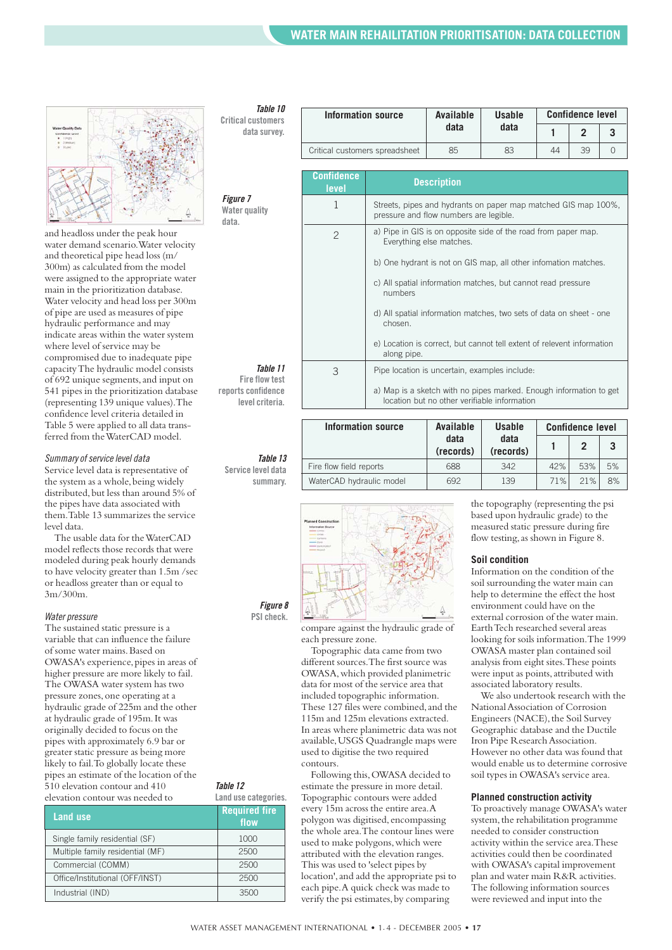

and headloss under the peak hour water demand scenario.Water velocity and theoretical pipe head loss (m/ 300m) as calculated from the model were assigned to the appropriate water main in the prioritization database. Water velocity and head loss per 300m of pipe are used as measures of pipe hydraulic performance and may indicate areas within the water system where level of service may be compromised due to inadequate pipe capacity The hydraulic model consists of 692 unique segments,and input on 541 pipes in the prioritization database (representing 139 unique values).The confidence level criteria detailed in Table 5 were applied to all data transferred from the WaterCAD model.

#### *Summary of service level data*

Service level data is representative of the system as a whole, being widely distributed, but less than around 5% of the pipes have data associated with them.Table 13 summarizes the service level data.

The usable data for the WaterCAD model reflects those records that were modeled during peak hourly demands to have velocity greater than 1.5m /sec or headloss greater than or equal to 3m/300m.

#### *Water pressure*

The sustained static pressure is a variable that can influence the failure of some water mains.Based on OWASA's experience, pipes in areas of higher pressure are more likely to fail. The OWASA water system has two pressure zones,one operating at a hydraulic grade of 225m and the other at hydraulic grade of 195m.It was originally decided to focus on the pipes with approximately 6.9 bar or greater static pressure as being more likely to fail.To globally locate these pipes an estimate of the location of the 510 elevation contour and 410 elevation contour was needed to

| Land use                         | <b>Required fire</b><br>flow |
|----------------------------------|------------------------------|
| Single family residential (SF)   | 1000                         |
| Multiple family residential (MF) | 2500                         |
| Commercial (COMM)                | 2500                         |
| Office/Institutional (OFF/INST)  | 2500                         |
| Industrial (IND)                 | 3500                         |

#### *Table 10*

**Critical customers data survey.**

| Information source             | Available | <b>Usable</b> | <b>Confidence level</b> |    |  |
|--------------------------------|-----------|---------------|-------------------------|----|--|
|                                | data      | data          |                         |    |  |
| Critical customers spreadsheet | 85        | 83            | 44                      | 39 |  |

**Description Confidence**

**level**

| <b>Figure 7</b> |
|-----------------|
| Water quality   |

| <b>Figure</b> 7<br>Water quality<br>data. | 1             | Streets, pipes and hydrants on paper map matched GIS map 100%,<br>pressure and flow numbers are legible.           |
|-------------------------------------------|---------------|--------------------------------------------------------------------------------------------------------------------|
|                                           | $\mathcal{P}$ | a) Pipe in GIS is on opposite side of the road from paper map.<br>Everything else matches.                         |
|                                           |               | b) One hydrant is not on GIS map, all other infomation matches.                                                    |
|                                           |               | c) All spatial information matches, but cannot read pressure<br>numbers                                            |
|                                           |               | d) All spatial information matches, two sets of data on sheet - one<br>chosen.                                     |
|                                           |               | e) Location is correct, but cannot tell extent of relevent information<br>along pipe.                              |
| Table 11<br><b>Fire flow test</b>         | 3             | Pipe location is uncertain, examples include:                                                                      |
| reports confidence<br>level criteria.     |               | a) Map is a sketch with no pipes marked. Enough information to get<br>location but no other verifiable information |
|                                           |               |                                                                                                                    |

*Table 13* **Service level data summary.**

| Information source       | Available<br><b>Usable</b> |                   | <b>Confidence level</b> |     |    |
|--------------------------|----------------------------|-------------------|-------------------------|-----|----|
|                          | data<br>(records)          | data<br>(records) |                         |     |    |
| Fire flow field reports  | 688                        | 342               | 42%                     | 53% | 5% |
| WaterCAD hydraulic model | 692                        | 139               | 71%                     | 21% | 8% |
|                          |                            |                   |                         |     |    |



*Figure 8* **PSI check.**

*Table 12*

**Land use categories.**

compare against the hydraulic grade of each pressure zone.

Topographic data came from two different sources.The first source was OWASA,which provided planimetric data for most of the service area that included topographic information. These 127 files were combined,and the 115m and 125m elevations extracted. In areas where planimetric data was not available,USGS Quadrangle maps were used to digitise the two required contours.

Following this,OWASA decided to estimate the pressure in more detail. Topographic contours were added every 15m across the entire area.A polygon was digitised,encompassing the whole area.The contour lines were used to make polygons, which were attributed with the elevation ranges. This was used to 'select pipes by location', and add the appropriate psi to each pipe.A quick check was made to verify the psi estimates, by comparing

the topography (representing the psi based upon hydraulic grade) to the measured static pressure during fire flow testing, as shown in Figure 8.

#### **Soil condition**

Information on the condition of the soil surrounding the water main can help to determine the effect the host environment could have on the external corrosion of the water main. Earth Tech researched several areas looking for soils information.The 1999 OWASA master plan contained soil analysis from eight sites.These points were input as points,attributed with associated laboratory results.

We also undertook research with the National Association of Corrosion Engineers (NACE), the Soil Survey Geographic database and the Ductile Iron Pipe Research Association. However no other data was found that would enable us to determine corrosive soil types in OWASA's service area.

#### **Planned construction activity**

To proactively manage OWASA's water system, the rehabilitation programme needed to consider construction activity within the service area.These activities could then be coordinated with OWASA's capital improvement plan and water main R&R activities. The following information sources were reviewed and input into the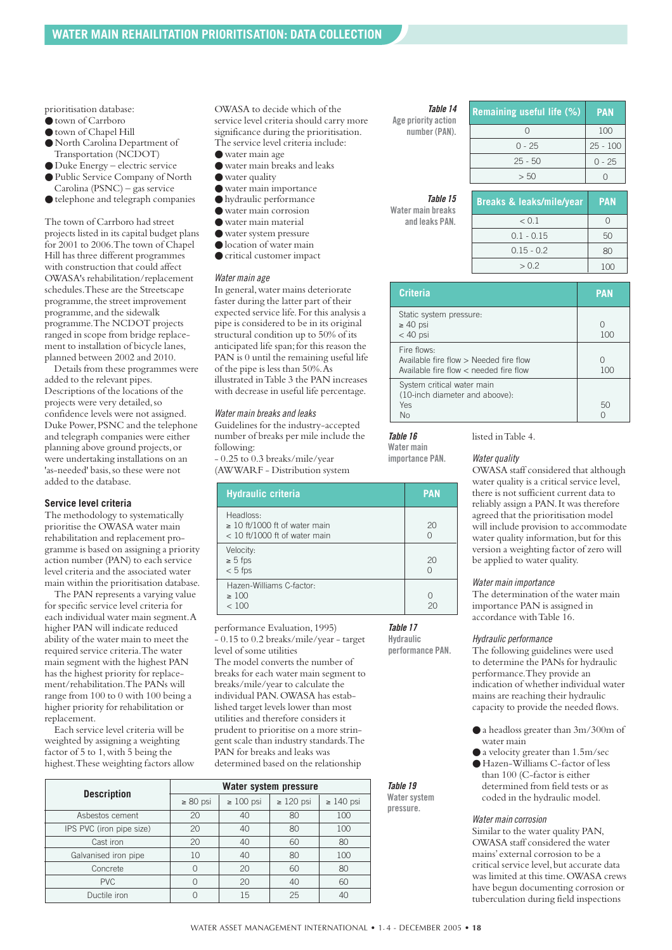prioritisation database:

- town of Carrboro
- town of Chapel Hill
- North Carolina Department of Transportation (NCDOT)
- Duke Energy electric service
- Public Service Company of North Carolina (PSNC) – gas service
- telephone and telegraph companies

The town of Carrboro had street projects listed in its capital budget plans for 2001 to 2006.The town of Chapel Hill has three different programmes with construction that could affect OWASA's rehabilitation/replacement schedules.These are the Streetscape programme, the street improvement programme, and the sidewalk programme.The NCDOT projects ranged in scope from bridge replacement to installation of bicycle lanes, planned between 2002 and 2010.

Details from these programmes were added to the relevant pipes. Descriptions of the locations of the projects were very detailed,so confidence levels were not assigned. Duke Power, PSNC and the telephone and telegraph companies were either planning above ground projects,or were undertaking installations on an 'as-needed' basis, so these were not added to the database.

#### **Service level criteria**

The methodology to systematically prioritise the OWASA water main rehabilitation and replacement programme is based on assigning a priority action number (PAN) to each service level criteria and the associated water main within the prioritisation database.

The PAN represents a varying value for specific service level criteria for each individual water main segment.A higher PAN will indicate reduced ability of the water main to meet the required service criteria.The water main segment with the highest PAN has the highest priority for replacement/rehabilitation.The PANs will range from 100 to 0 with 100 being a higher priority for rehabilitation or replacement.

Each service level criteria will be weighted by assigning a weighting factor of 5 to 1,with 5 being the highest.These weighting factors allow OWASA to decide which of the service level criteria should carry more significance during the prioritisation. The service level criteria include:

- water main age
- water main breaks and leaks
- water quality
- water main importance
- hydraulic performance
- water main corrosion
- water main material
- water system pressure
- location of water main
- critical customer impact

#### *Water main age*

In general,water mains deteriorate faster during the latter part of their expected service life.For this analysis a pipe is considered to be in its original structural condition up to 50% of its anticipated life span;for this reason the PAN is 0 until the remaining useful life of the pipe is less than 50%.As illustrated in Table 3 the PAN increases with decrease in useful life percentage.

#### *Water main breaks and leaks*

Guidelines for the industry-accepted number of breaks per mile include the following: - 0.25 to 0.3 breaks/mile/year

(AWWARF - Distribution system

| <b>Hydraulic criteria</b>                                                          | <b>PAN</b> |
|------------------------------------------------------------------------------------|------------|
| Headloss:<br>$\geq$ 10 ft/1000 ft of water main<br>$<$ 10 ft/1000 ft of water main | 20<br>Ω    |
| Velocity:<br>$\geq 5$ fps<br>$< 5$ fps                                             | 20<br>Ω    |
| Hazen-Williams C-factor:<br>$\geq 100$<br>< 100                                    | ∩          |

performance Evaluation,1995) - 0.15 to 0.2 breaks/mile/year - target level of some utilities The model converts the number of breaks for each water main segment to breaks/mile/year to calculate the individual PAN.OWASA has established target levels lower than most utilities and therefore considers it prudent to prioritise on a more stringent scale than industry standards.The PAN for breaks and leaks was determined based on the relationship

|                          | Water system pressure |                |                |                |
|--------------------------|-----------------------|----------------|----------------|----------------|
| <b>Description</b>       | $\geq 80$ psi         | $\geq 100$ psi | $\geq 120$ psi | $\geq 140$ psi |
| Asbestos cement          | 20                    | 40             | 80             | 100            |
| IPS PVC (iron pipe size) | 20                    | 40             | 80             | 100            |
| Cast iron                | 20                    | 40             | 60             | 80             |
| Galvanised iron pipe     | 10                    | 40             | 80             | 100            |
| Concrete                 | $\bigcap$             | 20             | 60             | 80             |
| <b>PVC</b>               |                       | 20             | 40             | 60             |
| Ductile iron             |                       | 15             | 25             | 4C             |

*Table 14*

**Age priority action number (PAN).**

| <b>Remaining useful life (%)</b> | <b>PAN</b> |
|----------------------------------|------------|
|                                  | 100        |
| $0 - 25$                         | $25 - 100$ |
| $25 - 50$                        | $0 - 25$   |
| > 50                             |            |

#### *Table 15* **Water main breaks**

| <b>Breaks &amp; leaks/mile/year</b> | <b>PAN</b> |
|-------------------------------------|------------|
| < 0.1                               |            |
| $0.1 - 0.15$                        | 50         |
| $0.15 - 0.2$                        | 80         |
| > 0.2                               | 100        |

| <b>Criteria</b>                                                                                 | <b>PAN</b> |
|-------------------------------------------------------------------------------------------------|------------|
| Static system pressure:<br>$\geq 40$ psi<br>$<$ 40 psi                                          | O<br>100   |
| Fire flows:<br>Available fire flow > Needed fire flow<br>Available fire flow < needed fire flow | Ω<br>100   |
| System critical water main<br>(10-inch diameter and aboove):<br>Yes<br>Nο                       | 50         |

#### *Table 16*

*Table 19* **Water system pressure.**

*Table 17* **Hydraulic performance PAN.**

**Water main importance PAN.**

#### *Water quality*

listed in Table 4.

OWASA staff considered that although water quality is a critical service level, there is not sufficient current data to reliably assign a PAN.It was therefore agreed that the prioritisation model will include provision to accommodate water quality information, but for this version a weighting factor of zero will be applied to water quality.

#### *Water main importance*

The determination of the water main importance PAN is assigned in accordance with Table 16.

#### *Hydraulic performance*

The following guidelines were used to determine the PANs for hydraulic performance.They provide an indication of whether individual water mains are reaching their hydraulic capacity to provide the needed flows.

- a headloss greater than 3m/300m of water main
- a velocity greater than 1.5m/sec
- Hazen-Williams C-factor of less than 100 (C-factor is either determined from field tests or as coded in the hydraulic model.

#### *Water main corrosion*

Similar to the water quality PAN, OWASA staff considered the water mains'external corrosion to be a critical service level,but accurate data was limited at this time.OWASA crews have begun documenting corrosion or tuberculation during field inspections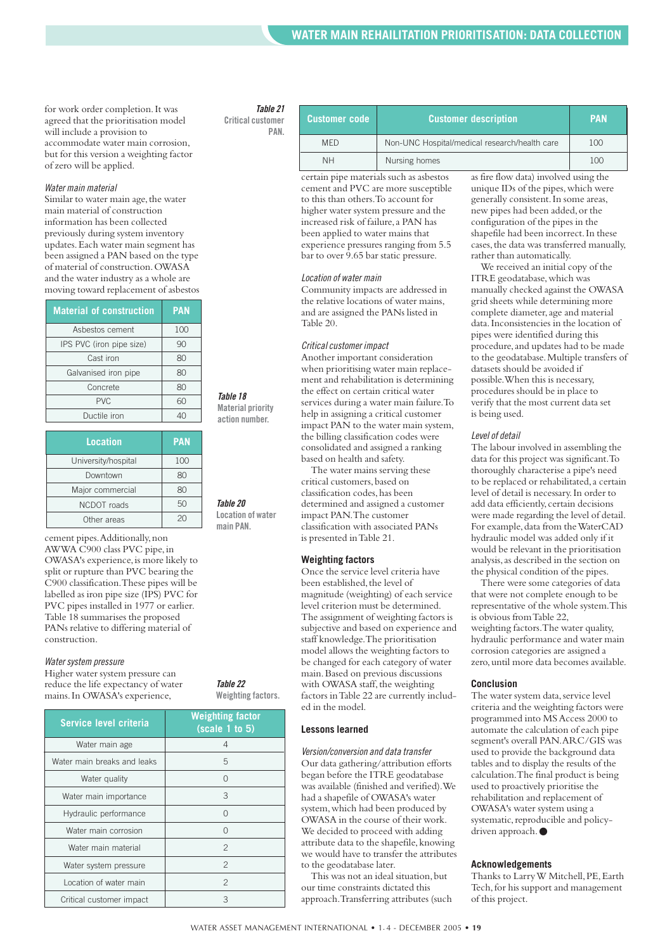for work order completion.It was agreed that the prioritisation model will include a provision to accommodate water main corrosion, but for this version a weighting factor of zero will be applied.

#### *Water main material*

Similar to water main age, the water main material of construction information has been collected previously during system inventory updates.Each water main segment has been assigned a PAN based on the type of material of construction.OWASA and the water industry as a whole are moving toward replacement of asbestos

| <b>Material of construction</b> | <b>PAN</b> |
|---------------------------------|------------|
| Asbestos cement                 | 100        |
| IPS PVC (iron pipe size)        | 90         |
| Cast iron                       | 80         |
| Galvanised iron pipe            | 80         |
| Concrete                        | 80         |
| <b>PVC</b>                      | 60         |
| Ductile iron                    |            |

| Location            | <b>PAN</b> |
|---------------------|------------|
| University/hospital | 100        |
| Downtown            | 80         |
| Major commercial    | 80         |
| NCDOT roads         | 50         |
| Other areas         | 20         |

cement pipes.Additionally,non AWWA C900 class PVC pipe,in OWASA's experience,is more likely to split or rupture than PVC bearing the C900 classification.These pipes will be labelled as iron pipe size (IPS) PVC for PVC pipes installed in 1977 or earlier. Table 18 summarises the proposed PANs relative to differing material of construction.

#### *Water system pressure*

Higher water system pressure can reduce the life expectancy of water mains.In OWASA's experience,

> Location of water main Critical customer impact

#### *Table 21* **Critical customer**

**PAN.**

| <b>Customer code</b> | <b>Customer description</b>                   | <b>PAN</b> |
|----------------------|-----------------------------------------------|------------|
| <b>MFD</b>           | Non-UNC Hospital/medical research/health care | 100        |
| <b>NH</b>            | Nursing homes                                 | 100        |

certain pipe materials such as asbestos cement and PVC are more susceptible to this than others.To account for higher water system pressure and the increased risk of failure, a PAN has been applied to water mains that experience pressures ranging from 5.5 bar to over 9.65 bar static pressure.

#### *Location of water main*

Community impacts are addressed in the relative locations of water mains, and are assigned the PANs listed in Table 20.

#### *Critical customer impact*

Another important consideration when prioritising water main replacement and rehabilitation is determining the effect on certain critical water services during a water main failure.To help in assigning a critical customer impact PAN to the water main system, the billing classification codes were consolidated and assigned a ranking based on health and safety.

The water mains serving these critical customers,based on classification codes,has been determined and assigned a customer impact PAN.The customer classification with associated PANs is presented in Table 21.

#### **Weighting factors**

Once the service level criteria have been established, the level of magnitude (weighting) of each service level criterion must be determined. The assignment of weighting factors is subjective and based on experience and staff knowledge.The prioritisation model allows the weighting factors to be changed for each category of water main.Based on previous discussions with OWASA staff, the weighting factors in Table 22 are currently included in the model.

#### **Lessons learned**

*Version/conversion and data transfer* Our data gathering/attribution efforts began before the ITRE geodatabase was available (finished and verified).We had a shapefile of OWASA's water system,which had been produced by OWASA in the course of their work. We decided to proceed with adding attribute data to the shapefile, knowing we would have to transfer the attributes to the geodatabase later.

This was not an ideal situation, but our time constraints dictated this approach.Transferring attributes (such as fire flow data) involved using the unique IDs of the pipes,which were generally consistent.In some areas, new pipes had been added,or the configuration of the pipes in the shapefile had been incorrect.In these cases,the data was transferred manually, rather than automatically.

We received an initial copy of the ITRE geodatabase,which was manually checked against the OWASA grid sheets while determining more complete diameter, age and material data.Inconsistencies in the location of pipes were identified during this procedure, and updates had to be made to the geodatabase.Multiple transfers of datasets should be avoided if possible.When this is necessary, procedures should be in place to verify that the most current data set is being used.

#### *Level of detail*

The labour involved in assembling the data for this project was significant.To thoroughly characterise a pipe's need to be replaced or rehabilitated,a certain level of detail is necessary.In order to add data efficiently, certain decisions were made regarding the level of detail. For example, data from the WaterCAD hydraulic model was added only if it would be relevant in the prioritisation analysis,as described in the section on the physical condition of the pipes.

There were some categories of data that were not complete enough to be representative of the whole system.This is obvious from Table 22, weighting factors.The water quality, hydraulic performance and water main corrosion categories are assigned a zero,until more data becomes available.

#### **Conclusion**

The water system data, service level criteria and the weighting factors were programmed into MS Access 2000 to automate the calculation of each pipe segment's overall PAN.ARC/GIS was used to provide the background data tables and to display the results of the calculation.The final product is being used to proactively prioritise the rehabilitation and replacement of OWASA's water system using a systematic, reproducible and policydriven approach. ●

#### **Acknowledgements**

Thanks to Larry W Mitchell, PE, Earth Tech, for his support and management of this project.

| Service level criteria      | <b>Weighting factor</b><br>(scale 1 to 5) |
|-----------------------------|-------------------------------------------|
| Water main age              | 4                                         |
| Water main breaks and leaks | 5                                         |
| Water quality               | O                                         |
| Water main importance       | 3                                         |
| Hydraulic performance       | ∩                                         |
| Water main corrosion        | O                                         |
| Water main material         | $\mathfrak{p}$                            |
| Water system pressure       | $\overline{c}$                            |
|                             |                                           |

WATER ASSET MANAGEMENT INTERNATIONAL • 1. 4 - DECEMBER 2005 • **19**

*Table 18* **Material priority action number.**

*Table 20* **Location of water main PAN.**

*Table 22* **Weighting factors.**

> 2 3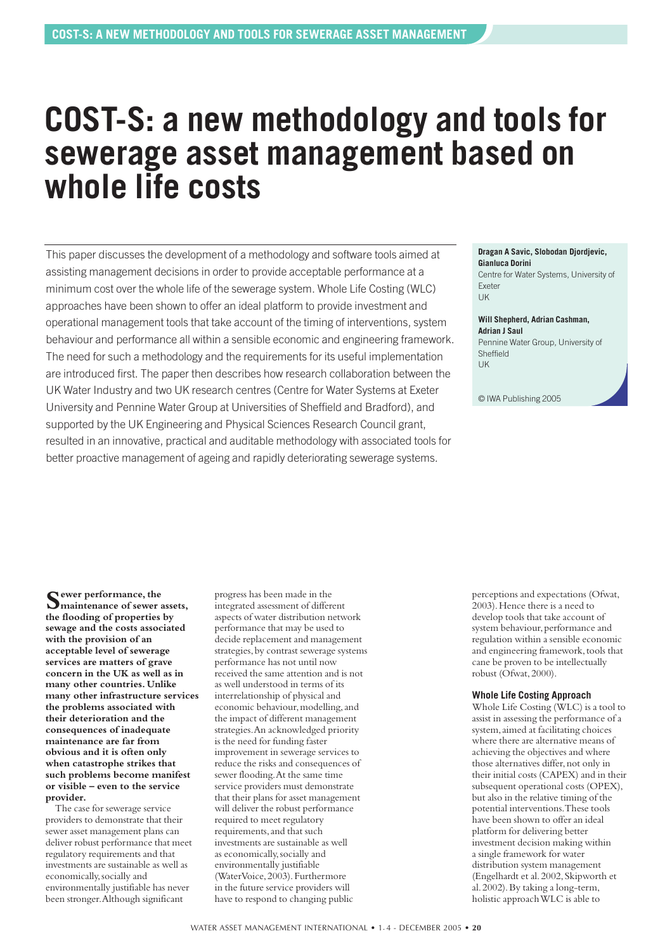### <span id="page-19-0"></span>**COST-S: a new methodology and tools for sewerage asset management based on whole life costs**

This paper discusses the development of a methodology and software tools aimed at assisting management decisions in order to provide acceptable performance at a minimum cost over the whole life of the sewerage system. Whole Life Costing (WLC) approaches have been shown to offer an ideal platform to provide investment and operational management tools that take account of the timing of interventions, system behaviour and performance all within a sensible economic and engineering framework. The need for such a methodology and the requirements for its useful implementation are introduced first. The paper then describes how research collaboration between the UK Water Industry and two UK research centres (Centre for Water Systems at Exeter University and Pennine Water Group at Universities of Sheffield and Bradford), and supported by the UK Engineering and Physical Sciences Research Council grant, resulted in an innovative, practical and auditable methodology with associated tools for better proactive management of ageing and rapidly deteriorating sewerage systems.

#### **Dragan A Savic, Slobodan Djordjevic, Gianluca Dorini**

Centre for Water Systems, University of Exeter **IIK** 

**Will Shepherd, Adrian Cashman, Adrian J Saul** Pennine Water Group, University of Sheffield UK

© IWA Publishing 2005

**Sewer performance, the maintenance of sewer assets, the flooding of properties by sewage and the costs associated with the provision of an acceptable level of sewerage services are matters of grave concern in the UK as well as in many other countries. Unlike many other infrastructure services the problems associated with their deterioration and the consequences of inadequate maintenance are far from obvious and it is often only when catastrophe strikes that such problems become manifest or visible – even to the service provider.**

The case for sewerage service providers to demonstrate that their sewer asset management plans can deliver robust performance that meet regulatory requirements and that investments are sustainable as well as economically,socially and environmentally justifiable has never been stronger.Although significant

progress has been made in the integrated assessment of different aspects of water distribution network performance that may be used to decide replacement and management strategies,by contrast sewerage systems performance has not until now received the same attention and is not as well understood in terms of its interrelationship of physical and economic behaviour, modelling, and the impact of different management strategies.An acknowledged priority is the need for funding faster improvement in sewerage services to reduce the risks and consequences of sewer flooding.At the same time service providers must demonstrate that their plans for asset management will deliver the robust performance required to meet regulatory requirements,and that such investments are sustainable as well as economically,socially and environmentally justifiable (WaterVoice, 2003). Furthermore in the future service providers will have to respond to changing public

perceptions and expectations (Ofwat, 2003).Hence there is a need to develop tools that take account of system behaviour, performance and regulation within a sensible economic and engineering framework, tools that cane be proven to be intellectually robust (Ofwat,2000).

#### **Whole Life Costing Approach**

Whole Life Costing (WLC) is a tool to assist in assessing the performance of a system, aimed at facilitating choices where there are alternative means of achieving the objectives and where those alternatives differ, not only in their initial costs (CAPEX) and in their subsequent operational costs (OPEX), but also in the relative timing of the potential interventions.These tools have been shown to offer an ideal platform for delivering better investment decision making within a single framework for water distribution system management (Engelhardt et al.2002,Skipworth et al.2002).By taking a long-term, holistic approach WLC is able to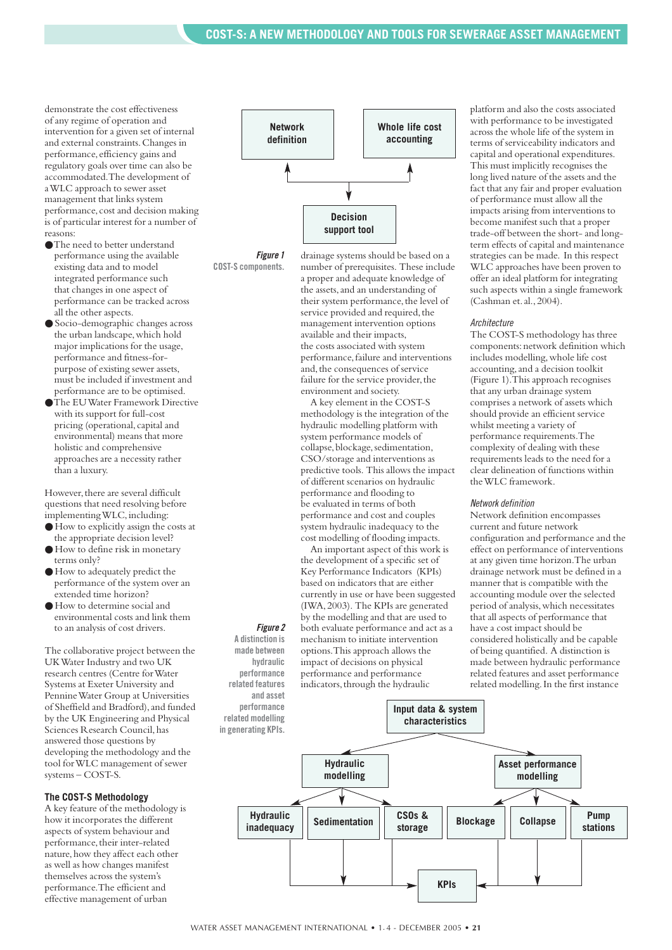demonstrate the cost effectiveness of any regime of operation and intervention for a given set of internal and external constraints.Changes in performance,efficiency gains and regulatory goals over time can also be accommodated.The development of a WLC approach to sewer asset management that links system performance, cost and decision making is of particular interest for a number of reasons:

- ●The need to better understand performance using the available existing data and to model integrated performance such that changes in one aspect of performance can be tracked across all the other aspects.
- Socio-demographic changes across the urban landscape,which hold major implications for the usage, performance and fitness-forpurpose of existing sewer assets, must be included if investment and performance are to be optimised.
- ●The EU Water Framework Directive with its support for full-cost pricing (operational,capital and environmental) means that more holistic and comprehensive approaches are a necessity rather than a luxury.

However, there are several difficult questions that need resolving before implementing WLC, including:

- How to explicitly assign the costs at the appropriate decision level?
- How to define risk in monetary terms only?
- How to adequately predict the performance of the system over an extended time horizon?
- How to determine social and environmental costs and link them to an analysis of cost drivers.

The collaborative project between the UK Water Industry and two UK research centres (Centre for Water Systems at Exeter University and Pennine Water Group at Universities of Sheffield and Bradford), and funded by the UK Engineering and Physical Sciences Research Council,has answered those questions by developing the methodology and the tool for WLC management of sewer systems – COST-S.

#### **The COST-S Methodology**

A key feature of the methodology is how it incorporates the different aspects of system behaviour and performance, their inter-related nature, how they affect each other as well as how changes manifest themselves across the system's performance.The efficient and effective management of urban



*Figure 1* **COST-S components.**

drainage systems should be based on a number of prerequisites. These include a proper and adequate knowledge of the assets,and an understanding of their system performance, the level of service provided and required, the management intervention options available and their impacts, the costs associated with system performance,failure and interventions and, the consequences of service failure for the service provider, the environment and society.

A key element in the COST-S methodology is the integration of the hydraulic modelling platform with system performance models of collapse, blockage, sedimentation, CSO/storage and interventions as predictive tools. This allows the impact of different scenarios on hydraulic performance and flooding to be evaluated in terms of both performance and cost and couples system hydraulic inadequacy to the cost modelling of flooding impacts.

An important aspect of this work is the development of a specific set of Key Performance Indicators (KPIs) based on indicators that are either currently in use or have been suggested (IWA,2003). The KPIs are generated by the modelling and that are used to both evaluate performance and act as a mechanism to initiate intervention options.This approach allows the impact of decisions on physical

performance and performance indicators, through the hydraulic platform and also the costs associated with performance to be investigated across the whole life of the system in terms of serviceability indicators and capital and operational expenditures. This must implicitly recognises the long lived nature of the assets and the fact that any fair and proper evaluation of performance must allow all the impacts arising from interventions to become manifest such that a proper trade-off between the short- and longterm effects of capital and maintenance strategies can be made. In this respect WLC approaches have been proven to offer an ideal platform for integrating such aspects within a single framework (Cashman et.al.,2004).

#### *Architecture*

The COST-S methodology has three components:network definition which includes modelling,whole life cost accounting,and a decision toolkit (Figure 1).This approach recognises that any urban drainage system comprises a network of assets which should provide an efficient service whilst meeting a variety of performance requirements.The complexity of dealing with these requirements leads to the need for a clear delineation of functions within the WLC framework.

#### *Network definition*

Network definition encompasses current and future network configuration and performance and the effect on performance of interventions at any given time horizon.The urban drainage network must be defined in a manner that is compatible with the accounting module over the selected period of analysis,which necessitates that all aspects of performance that have a cost impact should be considered holistically and be capable of being quantified. A distinction is made between hydraulic performance related features and asset performance related modelling.In the first instance



#### *Figure 2* **A distinction is hydraulic**

**made between performance related features and asset performance**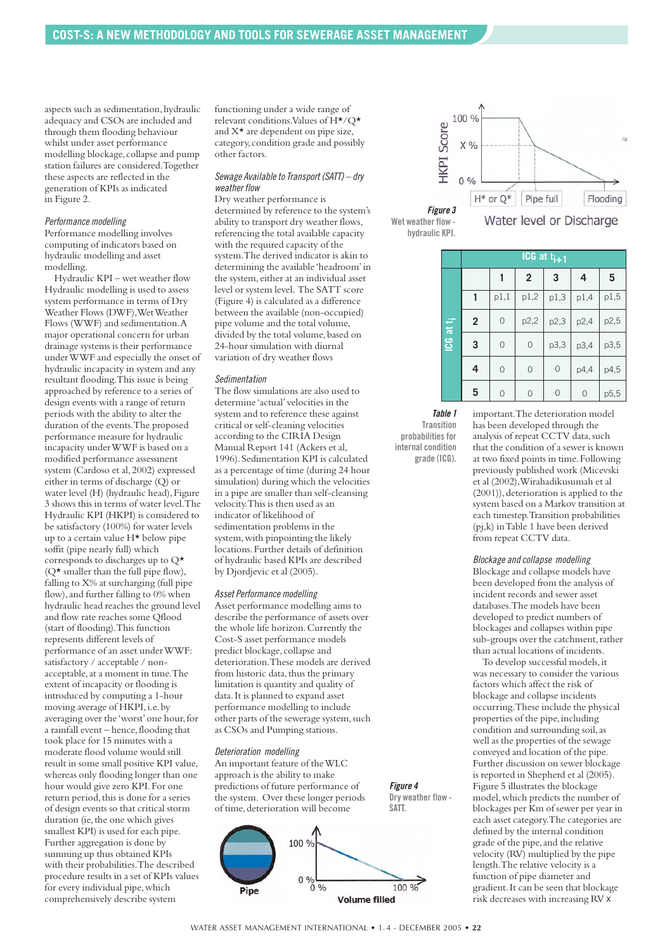aspects such as sedimentation, hydraulic adequacy and CSOs are included and through them flooding behaviour whilst under asset performance modelling blockage, collapse and pump station failures are considered.Together these aspects are reflected in the generation of KPIs as indicated in Figure 2.

#### *Performance modelling*

Performance modelling involves computing of indicators based on hydraulic modelling and asset modelling.

Hydraulic KPI – wet weather flow Hydraulic modelling is used to assess system performance in terms of Dry Weather Flows (DWF),Wet Weather Flows (WWF) and sedimentation.A major operational concern for urban drainage systems is their performance under WWF and especially the onset of hydraulic incapacity in system and any resultant flooding.This issue is being approached by reference to a series of design events with a range of return periods with the ability to alter the duration of the events.The proposed performance measure for hydraulic incapacity under WWF is based on a modified performance assessment system (Cardoso et al,2002) expressed either in terms of discharge (Q) or water level (H) (hydraulic head), Figure 3 shows this in terms of water level.The Hydraulic KPI (HKPI) is considered to be satisfactory (100%) for water levels up to a certain value H\* below pipe soffit (pipe nearly full) which corresponds to discharges up to Q\*  $(Q^{\star})$  smaller than the full pipe flow), falling to X% at surcharging (full pipe flow), and further falling to 0% when hydraulic head reaches the ground level and flow rate reaches some Qflood (start of flooding).This function represents different levels of performance of an asset under WWF: satisfactory / acceptable / nonacceptable,at a moment in time.The extent of incapacity or flooding is introduced by computing a 1-hour moving average of HKPI, i.e. by averaging over the 'worst' one hour, for a rainfall event – hence, flooding that took place for 15 minutes with a moderate flood volume would still result in some small positive KPI value, whereas only flooding longer than one hour would give zero KPI.For one return period, this is done for a series of design events so that critical storm duration (ie,the one which gives smallest KPI) is used for each pipe. Further aggregation is done by summing up thus obtained KPIs with their probabilities.The described procedure results in a set of KPIs values for every individual pipe,which comprehensively describe system

functioning under a wide range of relevant conditions.Values of H\*/Q\* and X\* are dependent on pipe size, category,condition grade and possibly other factors.

#### *Sewage Available to Transport (SATT) – dry weather flow*

Dry weather performance is determined by reference to the system's ability to transport dry weather flows, referencing the total available capacity with the required capacity of the system.The derived indicator is akin to determining the available 'headroom'in the system, either at an individual asset level or system level. The SATT score (Figure 4) is calculated as a difference between the available (non-occupied) pipe volume and the total volume, divided by the total volume, based on 24-hour simulation with diurnal variation of dry weather flows

#### *Sedimentation*

The flow simulations are also used to determine 'actual'velocities in the system and to reference these against critical or self-cleaning velocities according to the CIRIA Design Manual Report 141 (Ackers et al, 1996).Sedimentation KPI is calculated as a percentage of time (during 24 hour simulation) during which the velocities in a pipe are smaller than self-cleansing velocity.This is then used as an indicator of likelihood of sedimentation problems in the system, with pinpointing the likely locations.Further details of definition of hydraulic based KPIs are described by Djordjevic et al (2005).

#### *Asset Performance modelling*

Asset performance modelling aims to describe the performance of assets over the whole life horizon.Currently the Cost-S asset performance models predict blockage, collapse and deterioration.These models are derived from historic data, thus the primary limitation is quantity and quality of data.It is planned to expand asset performance modelling to include other parts of the sewerage system, such as CSOs and Pumping stations.

#### *Deterioration modelling*

An important feature of the WLC approach is the ability to make predictions of future performance of the system. Over these longer periods of time, deterioration will become







|                       | ICG at $t_{i+1}$ |                |                |                |      |      |  |  |  |  |
|-----------------------|------------------|----------------|----------------|----------------|------|------|--|--|--|--|
|                       |                  |                | $\overline{2}$ | 3              | 4    | 5    |  |  |  |  |
| ICG at t <sub>i</sub> |                  | p1,1           | p1,2           | p1,3           | p1,4 | p1,5 |  |  |  |  |
|                       | $\overline{2}$   | $\overline{O}$ | p2,2           | p2,3           | p2,4 | p2,5 |  |  |  |  |
|                       | 3                | $\overline{O}$ | $\circ$        | p3,3           | p3,4 | p3,5 |  |  |  |  |
|                       | 4                | $\overline{O}$ | $\circ$        | $\overline{O}$ | p4,4 | p4,5 |  |  |  |  |
|                       | 5                | $\overline{O}$ | 0              | $\Omega$       | 0    | p5,5 |  |  |  |  |

*Table 1* **Transition probabilities for internal condition grade (ICG).**

important.The deterioration model has been developed through the analysis of repeat CCTV data, such that the condition of a sewer is known at two fixed points in time.Following previously published work (Micevski et al (2002),Wirahadikusumah et al  $(2001)$ ), deterioration is applied to the system based on a Markov transition at each timestep.Transition probabilities (pj,k) in Table 1 have been derived from repeat CCTV data.

*Blockage and collapse modelling* Blockage and collapse models have been developed from the analysis of incident records and sewer asset databases.The models have been developed to predict numbers of blockages and collapses within pipe sub-groups over the catchment, rather than actual locations of incidents.

To develop successful models,it was necessary to consider the various factors which affect the risk of blockage and collapse incidents occurring.These include the physical properties of the pipe,including condition and surrounding soil, as well as the properties of the sewage conveyed and location of the pipe. Further discussion on sewer blockage is reported in Shepherd et al (2005). Figure 5 illustrates the blockage model,which predicts the number of blockages per Km of sewer per year in each asset category.The categories are defined by the internal condition grade of the pipe, and the relative velocity (RV) multiplied by the pipe length.The relative velocity is a function of pipe diameter and gradient.It can be seen that blockage risk decreases with increasing RV x

*Figure 4* **Dry weather flow -**

**SATT.**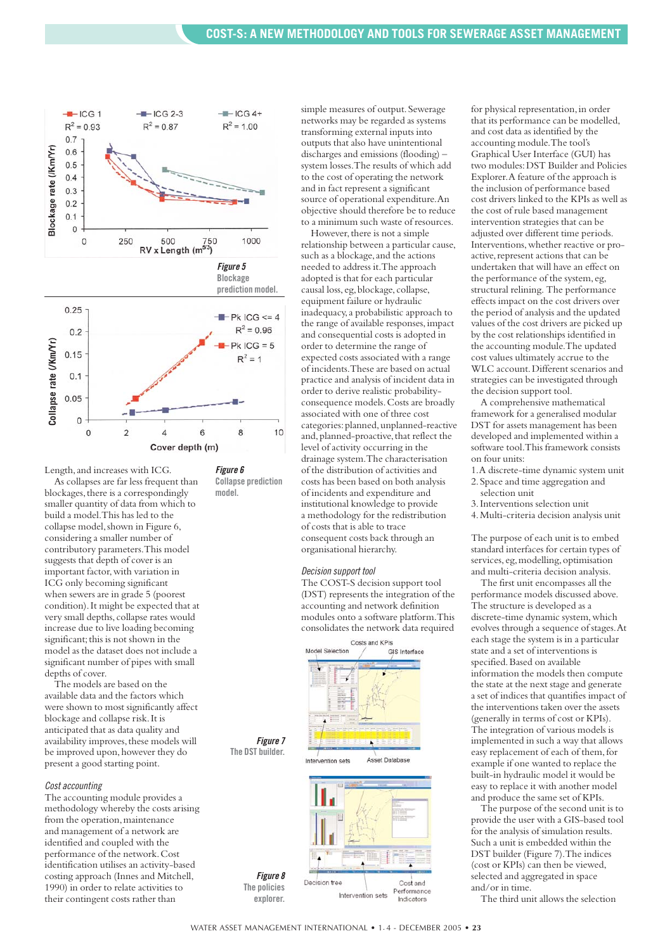

Length, and increases with ICG.

As collapses are far less frequent than blockages, there is a correspondingly smaller quantity of data from which to build a model.This has led to the collapse model, shown in Figure 6, considering a smaller number of contributory parameters.This model suggests that depth of cover is an important factor, with variation in ICG only becoming significant when sewers are in grade 5 (poorest condition).It might be expected that at very small depths, collapse rates would increase due to live loading becoming significant; this is not shown in the model as the dataset does not include a significant number of pipes with small depths of cover.

.<br>The models are based on the available data and the factors which were shown to most significantly affect blockage and collapse risk.It is anticipated that as data quality and availability improves, these models will be improved upon, however they do present a good starting point.

#### *Cost accounting*

The accounting module provides a methodology whereby the costs arising from the operation, maintenance and management of a network are identified and coupled with the performance of the network.Cost identification utilises an activity-based costing approach (Innes and Mitchell, 1990) in order to relate activities to their contingent costs rather than

simple measures of output. Sewerage networks may be regarded as systems transforming external inputs into outputs that also have unintentional discharges and emissions (flooding) – system losses.The results of which add to the cost of operating the network and in fact represent a significant source of operational expenditure.An objective should therefore be to reduce to a minimum such waste of resources.

However, there is not a simple relationship between a particular cause, such as a blockage, and the actions needed to address it.The approach adopted is that for each particular causal loss, eg, blockage, collapse, equipment failure or hydraulic inadequacy,a probabilistic approach to the range of available responses,impact and consequential costs is adopted in order to determine the range of expected costs associated with a range of incidents.These are based on actual practice and analysis of incident data in order to derive realistic probabilityconsequence models.Costs are broadly associated with one of three cost categories:planned,unplanned-reactive and, planned-proactive, that reflect the level of activity occurring in the drainage system.The characterisation of the distribution of activities and costs has been based on both analysis of incidents and expenditure and institutional knowledge to provide a methodology for the redistribution of costs that is able to trace consequent costs back through an organisational hierarchy.

#### *Decision support tool*

The COST-S decision support tool (DST) represents the integration of the accounting and network definition modules onto a software platform.This consolidates the network data required



*Figure 8* Decision tree Cost and

Intervention sets

Performance

Indicators

**The policies explorer.**

**Collapse prediction**

**model.**

for physical representation, in order that its performance can be modelled, and cost data as identified by the accounting module.The tool's Graphical User Interface (GUI) has two modules:DST Builder and Policies Explorer.A feature of the approach is the inclusion of performance based cost drivers linked to the KPIs as well as the cost of rule based management intervention strategies that can be adjusted over different time periods. Interventions,whether reactive or proactive, represent actions that can be undertaken that will have an effect on the performance of the system, eg, structural relining. The performance effects impact on the cost drivers over the period of analysis and the updated values of the cost drivers are picked up by the cost relationships identified in the accounting module.The updated cost values ultimately accrue to the WLC account.Different scenarios and strategies can be investigated through the decision support tool.

A comprehensive mathematical framework for a generalised modular DST for assets management has been developed and implemented within a software tool.This framework consists on four units:

- 1.A discrete-time dynamic system unit 2.Space and time aggregation and
- selection unit
- 3.Interventions selection unit
- 4.Multi-criteria decision analysis unit

The purpose of each unit is to embed standard interfaces for certain types of services, eg, modelling, optimisation and multi-criteria decision analysis.

The first unit encompasses all the performance models discussed above. The structure is developed as a discrete-time dynamic system,which evolves through a sequence of stages.At each stage the system is in a particular state and a set of interventions is specified.Based on available information the models then compute the state at the next stage and generate a set of indices that quantifies impact of the interventions taken over the assets (generally in terms of cost or KPIs). The integration of various models is implemented in such a way that allows easy replacement of each of them, for example if one wanted to replace the built-in hydraulic model it would be easy to replace it with another model and produce the same set of KPIs.

The purpose of the second unit is to provide the user with a GIS-based tool for the analysis of simulation results. Such a unit is embedded within the DST builder (Figure 7).The indices (cost or KPIs) can then be viewed, selected and aggregated in space and/or in time.

The third unit allows the selection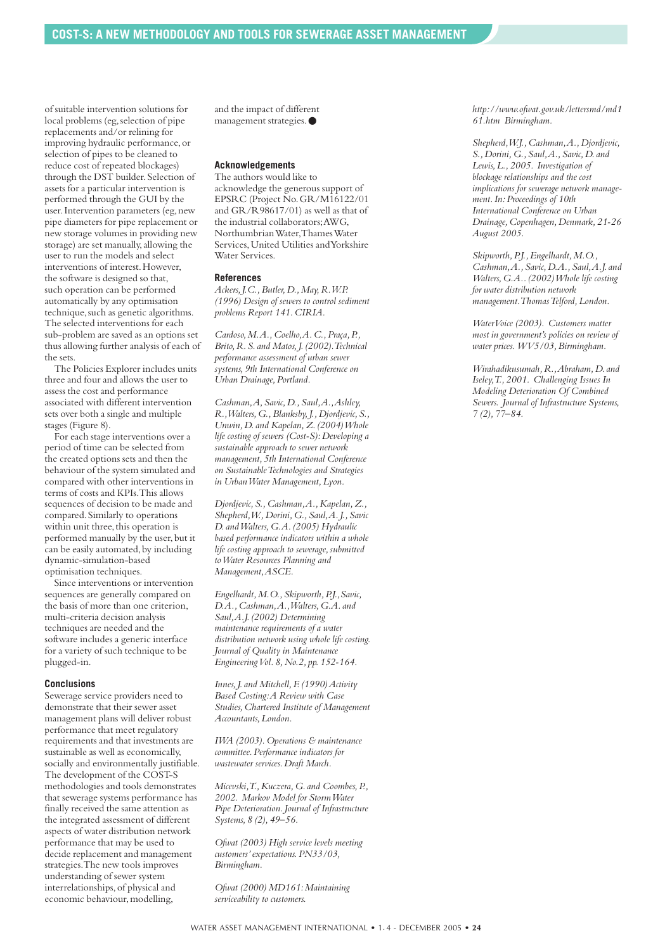of suitable intervention solutions for local problems (eg, selection of pipe replacements and/or relining for improving hydraulic performance,or selection of pipes to be cleaned to reduce cost of repeated blockages) through the DST builder. Selection of assets for a particular intervention is performed through the GUI by the user. Intervention parameters (eg, new pipe diameters for pipe replacement or new storage volumes in providing new storage) are set manually, allowing the user to run the models and select interventions of interest.However, the software is designed so that, such operation can be performed automatically by any optimisation technique,such as genetic algorithms. The selected interventions for each sub-problem are saved as an options set thus allowing further analysis of each of the sets.

The Policies Explorer includes units three and four and allows the user to assess the cost and performance associated with different intervention sets over both a single and multiple stages (Figure 8).

For each stage interventions over a period of time can be selected from the created options sets and then the behaviour of the system simulated and compared with other interventions in terms of costs and KPIs.This allows sequences of decision to be made and compared.Similarly to operations within unit three, this operation is performed manually by the user, but it can be easily automated, by including dynamic-simulation-based optimisation techniques.

Since interventions or intervention sequences are generally compared on the basis of more than one criterion, multi-criteria decision analysis techniques are needed and the software includes a generic interface for a variety of such technique to be plugged-in.

#### **Conclusions**

Sewerage service providers need to demonstrate that their sewer asset management plans will deliver robust performance that meet regulatory requirements and that investments are sustainable as well as economically, socially and environmentally justifiable. The development of the COST-S methodologies and tools demonstrates that sewerage systems performance has finally received the same attention as the integrated assessment of different aspects of water distribution network performance that may be used to decide replacement and management strategies.The new tools improves understanding of sewer system interrelationships, of physical and economic behaviour, modelling,

and the impact of different management strategies.●

#### **Acknowledgements**

The authors would like to acknowledge the generous support of EPSRC (Project No.GR/M16122/01 and GR/R98617/01) as well as that of the industrial collaborators;AWG, Northumbrian Water,Thames Water Services,United Utilities and Yorkshire Water Services.

#### **References**

*Ackers,J.C.,Butler,D.,May,R.W.P. (1996) Design of sewers to control sediment problems Report 141.CIRIA.*

*Cardoso,M.A.,Coelho,A.C.,Praça,P., Brito,R.S.and Matos,J.(2002).Technical performance assessment of urban sewer systems,9th International Conference on Urban Drainage,Portland.*

*Cashman,A,Savic,D.,Saul,A.,Ashley, R.,Walters,G.,Blanksby,J.,Djordjevic,S., Unwin,D.and Kapelan,Z.(2004) Whole life costing of sewers (Cost-S):Developing a sustainable approach to sewer network management,5th International Conference on Sustainable Technologies and Strategies in Urban Water Management,Lyon.*

*Djordjevic,S.,Cashman,A.,Kapelan,Z., Shepherd,W.,Dorini,G.,Saul,A.J.,Savic D. and Walters,G.A.(2005) Hydraulic based performance indicators within a whole life costing approach to sewerage,submitted to Water Resources Planning and Management,ASCE.*

*Engelhardt,M.O.,Skipworth,P.J.,Savic, D.A.,Cashman,A.,Walters,G.A.and Saul,A.J.(2002) Determining maintenance requirements of a water distribution network using whole life costing. Journal of Quality in Maintenance Engineering Vol.8,No.2,pp.152-164.*

*Innes,J.and Mitchell,F.(1990) Activity Based Costing:A Review with Case Studies,Chartered Institute of Management Accountants,London.*

*IWA (2003).Operations & maintenance committee.Performance indicators for wastewater services.Draft March.*

*Micevski,T.,Kuczera,G.and Coombes,P., 2002. Markov Model for Storm Water Pipe Deterioration.Journal of Infrastructure Systems,8 (2),49–56.*

*Ofwat (2003) High service levels meeting customers'expectations.PN33/03, Birmingham.*

*Ofwat (2000) MD161:Maintaining serviceability to customers.*

*http://www.ofwat.gov.uk/lettersmd/md1 61.htm Birmingham.*

*Shepherd,W.J.,Cashman,A.,Djordjevic, S.,Dorini,G.,Saul,A.,Savic,D.and Lewis,L.,2005. Investigation of blockage relationships and the cost implications for sewerage network management.In:Proceedings of 10th International Conference on Urban Drainage,Copenhagen,Denmark,21-26 August 2005.*

*Skipworth,P.J.,Engelhardt,M.O., Cashman,A.,Savic,D.A.,Saul,A.J.and Walters,G.A..(2002) Whole life costing for water distribution network management.Thomas Telford,London.*

*WaterVoice (2003). Customers matter most in government's policies on review of water prices. WV5/03,Birmingham.*

*Wirahadikusumah,R.,Abraham,D.and Iseley,T.,2001. Challenging Issues In Modeling Deterioration Of Combined Sewers. Journal of Infrastructure Systems, 7 (2),77–84.*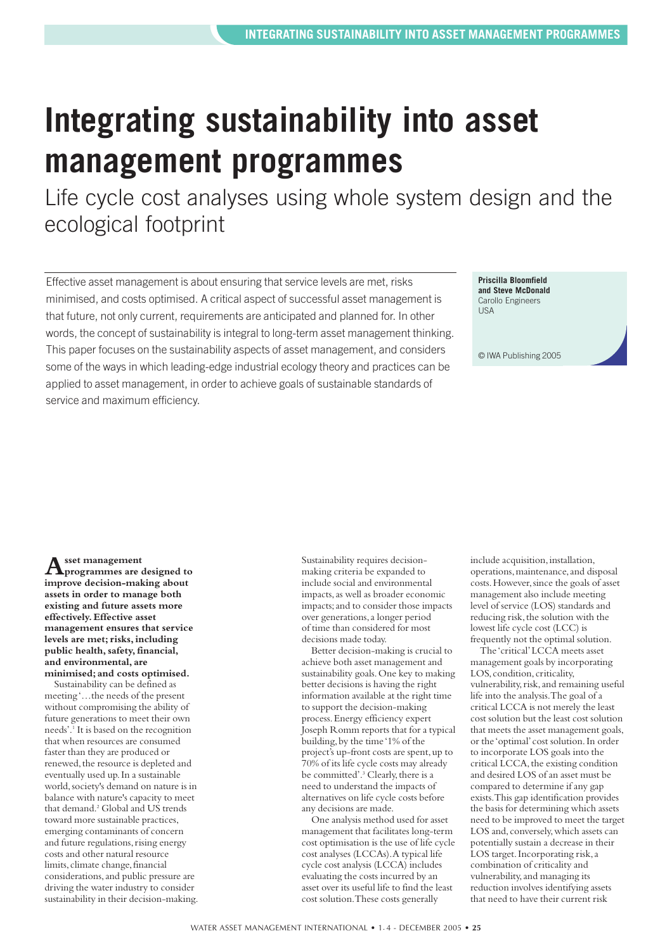## <span id="page-24-0"></span>**Integrating sustainability into asset management programmes**

Life cycle cost analyses using whole system design and the ecological footprint

Effective asset management is about ensuring that service levels are met, risks minimised, and costs optimised. A critical aspect of successful asset management is that future, not only current, requirements are anticipated and planned for. In other words, the concept of sustainability is integral to long-term asset management thinking. This paper focuses on the sustainability aspects of asset management, and considers some of the ways in which leading-edge industrial ecology theory and practices can be applied to asset management, in order to achieve goals of sustainable standards of service and maximum efficiency.

**Priscilla Bloomfield and Steve McDonald** Carollo Engineers **IISA** 

© IWA Publishing 2005

**Asset management programmes are designed to improve decision-making about assets in order to manage both existing and future assets more effectively.Effective asset management ensures that service levels are met; risks, including public health, safety,financial, and environmental, are minimised; and costs optimised.**

Sustainability can be defined as meeting '…the needs of the present without compromising the ability of future generations to meet their own needs'.1 It is based on the recognition that when resources are consumed faster than they are produced or renewed, the resource is depleted and eventually used up.In a sustainable world,society's demand on nature is in balance with nature's capacity to meet that demand.2 Global and US trends toward more sustainable practices, emerging contaminants of concern and future regulations, rising energy costs and other natural resource limits, climate change, financial considerations,and public pressure are driving the water industry to consider sustainability in their decision-making. Sustainability requires decisionmaking criteria be expanded to include social and environmental impacts,as well as broader economic impacts;and to consider those impacts over generations,a longer period of time than considered for most decisions made today.

Better decision-making is crucial to achieve both asset management and sustainability goals.One key to making better decisions is having the right information available at the right time to support the decision-making process.Energy efficiency expert Joseph Romm reports that for a typical building,by the time '1% of the project's up-front costs are spent,up to 70% of its life cycle costs may already be committed'.<sup>3</sup> Clearly, there is a need to understand the impacts of alternatives on life cycle costs before any decisions are made.

One analysis method used for asset management that facilitates long-term cost optimisation is the use of life cycle cost analyses (LCCAs).A typical life cycle cost analysis (LCCA) includes evaluating the costs incurred by an asset over its useful life to find the least cost solution.These costs generally

include acquisition, installation, operations,maintenance,and disposal costs.However,since the goals of asset management also include meeting level of service (LOS) standards and reducing risk, the solution with the lowest life cycle cost (LCC) is frequently not the optimal solution.

The 'critical'LCCA meets asset management goals by incorporating LOS, condition, criticality, vulnerability, risk, and remaining useful life into the analysis.The goal of a critical LCCA is not merely the least cost solution but the least cost solution that meets the asset management goals, or the 'optimal'cost solution.In order to incorporate LOS goals into the critical LCCA, the existing condition and desired LOS of an asset must be compared to determine if any gap exists.This gap identification provides the basis for determining which assets need to be improved to meet the target LOS and, conversely, which assets can potentially sustain a decrease in their LOS target. Incorporating risk, a combination of criticality and vulnerability,and managing its reduction involves identifying assets that need to have their current risk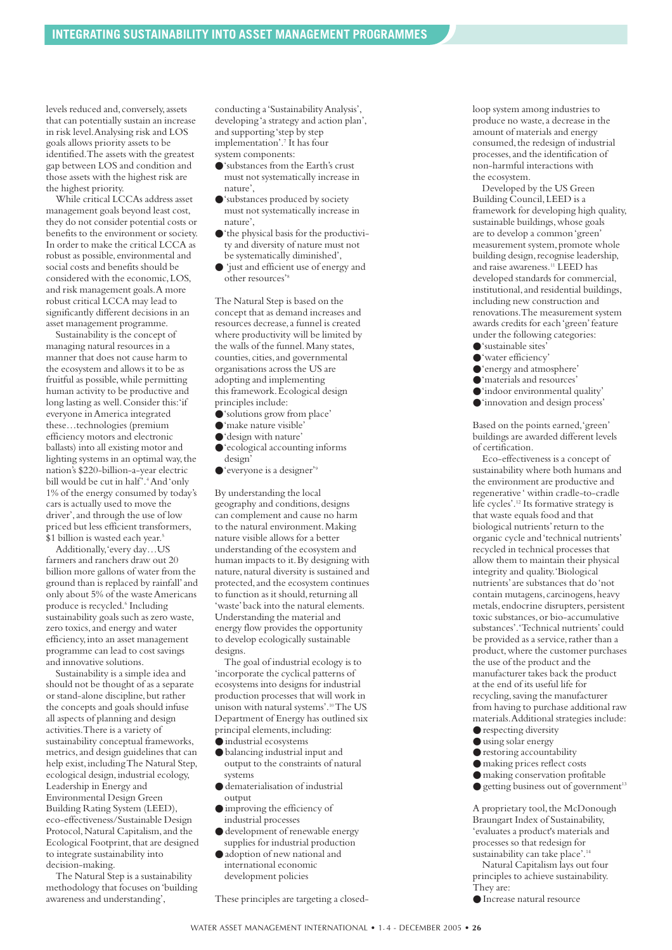levels reduced and, conversely, assets that can potentially sustain an increase in risk level.Analysing risk and LOS goals allows priority assets to be identified.The assets with the greatest gap between LOS and condition and those assets with the highest risk are the highest priority.

While critical LCCAs address asset management goals beyond least cost, they do not consider potential costs or benefits to the environment or society. In order to make the critical LCCA as robust as possible, environmental and social costs and benefits should be considered with the economic,LOS, and risk management goals.A more robust critical LCCA may lead to significantly different decisions in an asset management programme.

Sustainability is the concept of managing natural resources in a manner that does not cause harm to the ecosystem and allows it to be as fruitful as possible,while permitting human activity to be productive and long lasting as well.Consider this:'if everyone in America integrated these…technologies (premium efficiency motors and electronic ballasts) into all existing motor and lighting systems in an optimal way,the nation's \$220-billion-a-year electric bill would be cut in half'.4And 'only 1% of the energy consumed by today's cars is actually used to move the driver', and through the use of low priced but less efficient transformers, \$1 billion is wasted each year.<sup>5</sup>

Additionally,'every day…US farmers and ranchers draw out 20 billion more gallons of water from the ground than is replaced by rainfall'and only about 5% of the waste Americans produce is recycled.<sup>6</sup> Including sustainability goals such as zero waste, zero toxics, and energy and water efficiency,into an asset management programme can lead to cost savings and innovative solutions.

Sustainability is a simple idea and should not be thought of as a separate or stand-alone discipline, but rather the concepts and goals should infuse all aspects of planning and design activities.There is a variety of sustainability conceptual frameworks, metrics,and design guidelines that can help exist, including The Natural Step, ecological design, industrial ecology, Leadership in Energy and Environmental Design Green Building Rating System (LEED), eco-effectiveness/Sustainable Design Protocol, Natural Capitalism, and the Ecological Footprint, that are designed to integrate sustainability into decision-making.

The Natural Step is a sustainability methodology that focuses on 'building awareness and understanding',

conducting a 'Sustainability Analysis', developing 'a strategy and action plan', and supporting 'step by step implementation'.7 It has four system components:

- ●'substances from the Earth's crust must not systematically increase in nature',
- ●'substances produced by society must not systematically increase in nature',
- ●'the physical basis for the productivity and diversity of nature must not be systematically diminished',
- 'just and efficient use of energy and other resources'8

The Natural Step is based on the concept that as demand increases and resources decrease,a funnel is created where productivity will be limited by the walls of the funnel.Many states, counties, cities, and governmental organisations across the US are adopting and implementing this framework.Ecological design principles include:

- ●'solutions grow from place'
- ●'make nature visible'
- ●'design with nature'
- ●'ecological accounting informs design'
- 'everyone is a designer'<sup>9</sup>

By understanding the local geography and conditions,designs can complement and cause no harm to the natural environment.Making nature visible allows for a better understanding of the ecosystem and human impacts to it.By designing with nature, natural diversity is sustained and protected,and the ecosystem continues to function as it should, returning all 'waste'back into the natural elements. Understanding the material and energy flow provides the opportunity to develop ecologically sustainable designs.

The goal of industrial ecology is to 'incorporate the cyclical patterns of ecosystems into designs for industrial production processes that will work in unison with natural systems'. $\rm ^{10}The\ US$ Department of Energy has outlined six principal elements, including:

- industrial ecosystems
- balancing industrial input and output to the constraints of natural systems
- dematerialisation of industrial output
- improving the efficiency of industrial processes
- development of renewable energy
- supplies for industrial production ● adoption of new national and
- international economic development policies

These principles are targeting a closed-

loop system among industries to produce no waste,a decrease in the amount of materials and energy consumed, the redesign of industrial processes,and the identification of non-harmful interactions with the ecosystem.

Developed by the US Green Building Council,LEED is a framework for developing high quality, sustainable buildings, whose goals are to develop a common 'green' measurement system, promote whole building design, recognise leadership, and raise awareness.11 LEED has developed standards for commercial, institutional,and residential buildings, including new construction and renovations.The measurement system awards credits for each 'green'feature under the following categories:

- ●'sustainable sites'
- ●'water efficiency'
- ●'energy and atmosphere'
- ●'materials and resources'
- ●'indoor environmental quality'
- ●'innovation and design process'

Based on the points earned,'green' buildings are awarded different levels of certification.

Eco-effectiveness is a concept of sustainability where both humans and the environment are productive and regenerative ' within cradle-to-cradle life cycles'.12 Its formative strategy is that waste equals food and that biological nutrients'return to the organic cycle and 'technical nutrients' recycled in technical processes that allow them to maintain their physical integrity and quality.'Biological nutrients'are substances that do 'not contain mutagens, carcinogens, heavy metals, endocrine disrupters, persistent toxic substances,or bio-accumulative substances'.'Technical nutrients'could be provided as a service, rather than a product,where the customer purchases the use of the product and the manufacturer takes back the product at the end of its useful life for recycling, saving the manufacturer from having to purchase additional raw materials.Additional strategies include:

- respecting diversity ● using solar energy
- restoring accountability
- making prices reflect costs
- 
- making conservation profitable  $\bullet$  getting business out of government<sup>13</sup>

A proprietary tool, the McDonough Braungart Index of Sustainability, 'evaluates a product's materials and processes so that redesign for sustainability can take place'.<sup>14</sup>

Natural Capitalism lays out four principles to achieve sustainability. They are:

● Increase natural resource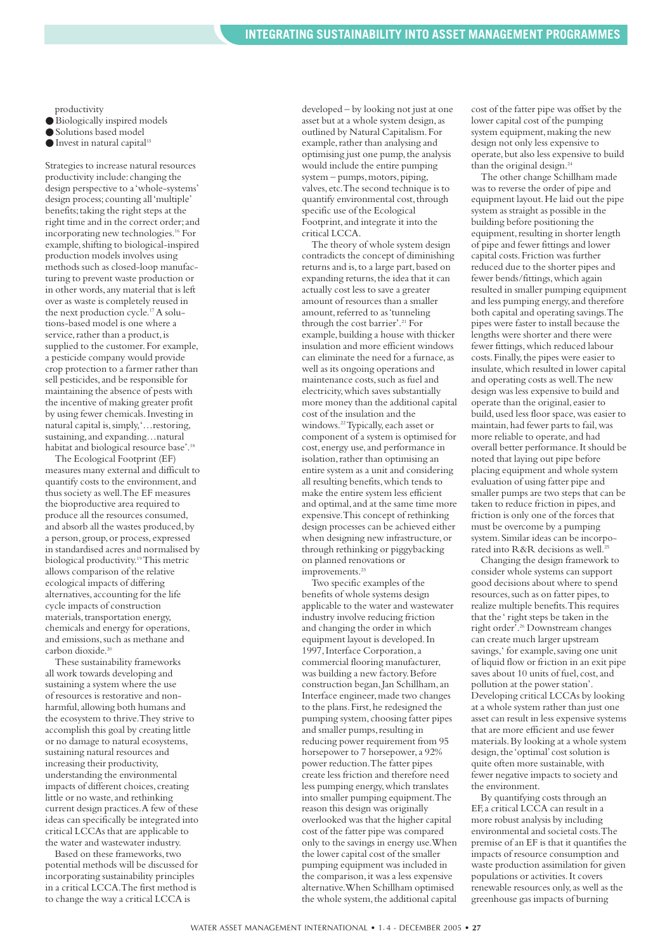productivity

- Biologically inspired models
- Solutions based model
- $\bullet$  Invest in natural capital<sup>15</sup>

Strategies to increase natural resources productivity include: changing the design perspective to a 'whole-systems' design process;counting all 'multiple' benefits;taking the right steps at the right time and in the correct order;and incorporating new technologies.16 For example,shifting to biological-inspired production models involves using methods such as closed-loop manufacturing to prevent waste production or in other words,any material that is left over as waste is completely reused in the next production cycle.<sup>17</sup> A solutions-based model is one where a service, rather than a product, is supplied to the customer. For example, a pesticide company would provide crop protection to a farmer rather than sell pesticides,and be responsible for maintaining the absence of pests with the incentive of making greater profit by using fewer chemicals.Investing in natural capital is,simply,'…restoring, sustaining, and expanding…natural habitat and biological resource base'.<sup>18</sup>

The Ecological Footprint (EF) measures many external and difficult to quantify costs to the environment,and thus society as well.The EF measures the bioproductive area required to produce all the resources consumed, and absorb all the wastes produced, by a person,group,or process,expressed in standardised acres and normalised by biological productivity.19This metric allows comparison of the relative ecological impacts of differing alternatives,accounting for the life cycle impacts of construction materials, transportation energy, chemicals and energy for operations, and emissions, such as methane and carbon dioxide.20

These sustainability frameworks all work towards developing and sustaining a system where the use of resources is restorative and nonharmful, allowing both humans and the ecosystem to thrive.They strive to accomplish this goal by creating little or no damage to natural ecosystems, sustaining natural resources and increasing their productivity, understanding the environmental impacts of different choices, creating little or no waste, and rethinking current design practices.A few of these ideas can specifically be integrated into critical LCCAs that are applicable to the water and wastewater industry.

Based on these frameworks, two potential methods will be discussed for incorporating sustainability principles in a critical LCCA.The first method is to change the way a critical LCCA is

developed – by looking not just at one asset but at a whole system design,as outlined by Natural Capitalism.For example, rather than analysing and optimising just one pump, the analysis would include the entire pumping  $system - pumps, motors, piping,$ valves,etc.The second technique is to quantify environmental cost, through specific use of the Ecological Footprint,and integrate it into the critical LCCA.

The theory of whole system design contradicts the concept of diminishing returns and is, to a large part, based on expanding returns, the idea that it can actually cost less to save a greater amount of resources than a smaller amount, referred to as 'tunneling' through the cost barrier'.<sup>21</sup> For example, building a house with thicker insulation and more efficient windows can eliminate the need for a furnace,as well as its ongoing operations and maintenance costs, such as fuel and electricity,which saves substantially more money than the additional capital cost of the insulation and the windows.<sup>22</sup>Typically, each asset or component of a system is optimised for cost,energy use,and performance in isolation,rather than optimising an entire system as a unit and considering all resulting benefits,which tends to make the entire system less efficient and optimal, and at the same time more expensive.This concept of rethinking design processes can be achieved either when designing new infrastructure, or through rethinking or piggybacking on planned renovations or improvements.<sup>23</sup>

Two specific examples of the benefits of whole systems design applicable to the water and wastewater industry involve reducing friction and changing the order in which equipment layout is developed.In 1997,Interface Corporation,a commercial flooring manufacturer, was building a new factory.Before construction began, Jan Schillham, an Interface engineer, made two changes to the plans. First, he redesigned the pumping system, choosing fatter pipes and smaller pumps, resulting in reducing power requirement from 95 horsepower to 7 horsepower,a 92% power reduction.The fatter pipes create less friction and therefore need less pumping energy,which translates into smaller pumping equipment.The reason this design was originally overlooked was that the higher capital cost of the fatter pipe was compared only to the savings in energy use.When the lower capital cost of the smaller pumping equipment was included in the comparison, it was a less expensive alternative.When Schillham optimised the whole system, the additional capital cost of the fatter pipe was offset by the lower capital cost of the pumping system equipment, making the new design not only less expensive to operate,but also less expensive to build than the original design.<sup>24</sup>

The other change Schillham made was to reverse the order of pipe and equipment layout.He laid out the pipe system as straight as possible in the building before positioning the equipment, resulting in shorter length of pipe and fewer fittings and lower capital costs.Friction was further reduced due to the shorter pipes and fewer bends/fittings,which again resulted in smaller pumping equipment and less pumping energy,and therefore both capital and operating savings.The pipes were faster to install because the lengths were shorter and there were fewer fittings,which reduced labour costs.Finally,the pipes were easier to insulate,which resulted in lower capital and operating costs as well.The new design was less expensive to build and operate than the original,easier to build,used less floor space,was easier to maintain, had fewer parts to fail, was more reliable to operate,and had overall better performance.It should be noted that laying out pipe before placing equipment and whole system evaluation of using fatter pipe and smaller pumps are two steps that can be taken to reduce friction in pipes, and friction is only one of the forces that must be overcome by a pumping system.Similar ideas can be incorporated into R&R decisions as well.25

Changing the design framework to consider whole systems can support good decisions about where to spend resources, such as on fatter pipes, to realize multiple benefits.This requires that the ' right steps be taken in the right order'.26 Downstream changes can create much larger upstream savings,' for example, saving one unit of liquid flow or friction in an exit pipe saves about 10 units of fuel, cost, and pollution at the power station'. Developing critical LCCAs by looking at a whole system rather than just one asset can result in less expensive systems that are more efficient and use fewer materials.By looking at a whole system design, the 'optimal' cost solution is quite often more sustainable, with fewer negative impacts to society and the environment.

By quantifying costs through an EF,a critical LCCA can result in a more robust analysis by including environmental and societal costs.The premise of an EF is that it quantifies the impacts of resource consumption and waste production assimilation for given populations or activities.It covers renewable resources only,as well as the greenhouse gas impacts of burning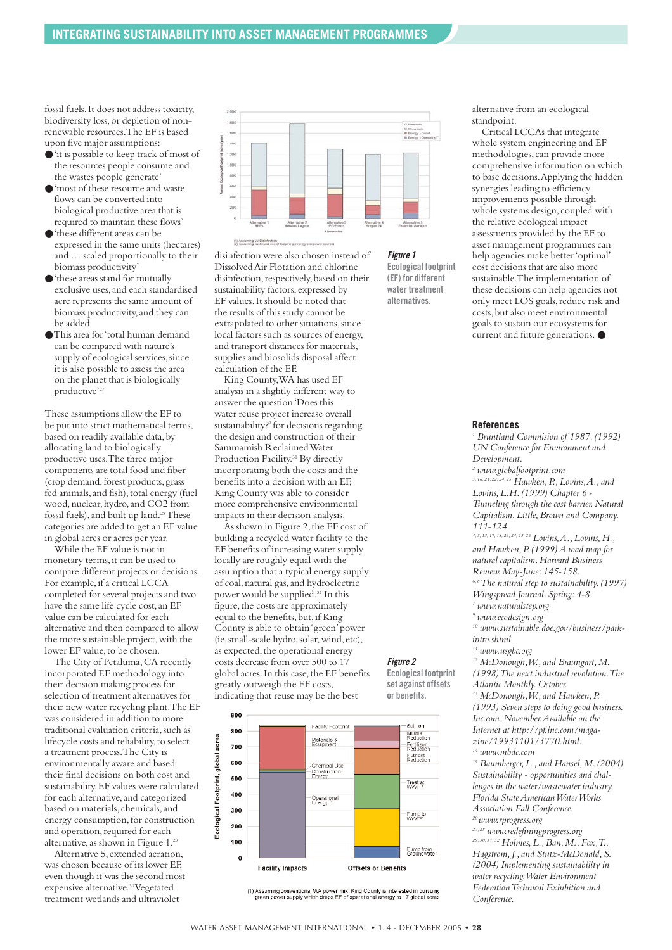fossil fuels.It does not address toxicity, biodiversity loss,or depletion of nonrenewable resources.The EF is based upon five major assumptions:

- ●'it is possible to keep track of most of the resources people consume and the wastes people generate'
- ●'most of these resource and waste flows can be converted into biological productive area that is required to maintain these flows'
- ●'these different areas can be expressed in the same units (hectares) and … scaled proportionally to their biomass productivity'
- ●'these areas stand for mutually exclusive uses,and each standardised acre represents the same amount of biomass productivity,and they can be added
- ●This area for 'total human demand can be compared with nature's supply of ecological services, since it is also possible to assess the area on the planet that is biologically productive'<sup>27</sup>

These assumptions allow the EF to be put into strict mathematical terms, based on readily available data,by allocating land to biologically productive uses.The three major components are total food and fiber (crop demand,forest products,grass fed animals, and fish), total energy (fuel wood, nuclear, hydro, and CO2 from fossil fuels), and built up land.<sup>28</sup>These categories are added to get an EF value in global acres or acres per year.

While the EF value is not in monetary terms, it can be used to compare different projects or decisions. For example, if a critical LCCA completed for several projects and two have the same life cycle cost,an EF value can be calculated for each alternative and then compared to allow the more sustainable project,with the lower EF value, to be chosen.

The City of Petaluma, CA recently incorporated EF methodology into their decision making process for selection of treatment alternatives for their new water recycling plant.The EF was considered in addition to more traditional evaluation criteria, such as lifecycle costs and reliability, to select a treatment process.The City is environmentally aware and based their final decisions on both cost and sustainability.EF values were calculated for each alternative, and categorized based on materials, chemicals, and energy consumption,for construction and operation, required for each alternative, as shown in Figure 1.<sup>29</sup>

Alternative 5,extended aeration, was chosen because of its lower EF, even though it was the second most expensive alternative.30Vegetated treatment wetlands and ultraviolet



disinfection were also chosen instead of Dissolved Air Flotation and chlorine disinfection, respectively, based on their sustainability factors, expressed by EF values.It should be noted that the results of this study cannot be extrapolated to other situations, since local factors such as sources of energy, and transport distances for materials, supplies and biosolids disposal affect calculation of the EF.

King County,WA has used EF analysis in a slightly different way to answer the question 'Does this water reuse project increase overall sustainability?'for decisions regarding the design and construction of their Sammamish Reclaimed Water Production Facility.<sup>31</sup> By directly incorporating both the costs and the benefits into a decision with an EF, King County was able to consider more comprehensive environmental impacts in their decision analysis.

As shown in Figure 2,the EF cost of building a recycled water facility to the EF benefits of increasing water supply locally are roughly equal with the assumption that a typical energy supply of coal,natural gas,and hydroelectric power would be supplied.32 In this figure, the costs are approximately equal to the benefits, but, if King County is able to obtain 'green'power (ie,small-scale hydro,solar,wind,etc), as expected, the operational energy costs decrease from over 500 to 17 global acres. In this case, the EF benefits greatly outweigh the EF costs, indicating that reuse may be the best



(1) Assuming conventional WA power mix. King County is interested in pursuing<br>green power supply which drops EF of operational energy to 17 global acres

alternative from an ecological standpoint.

Critical LCCAs that integrate whole system engineering and EF methodologies, can provide more comprehensive information on which to base decisions.Applying the hidden synergies leading to efficiency improvements possible through whole systems design, coupled with the relative ecological impact assessments provided by the EF to asset management programmes can help agencies make better 'optimal' cost decisions that are also more sustainable.The implementation of these decisions can help agencies not only meet LOS goals, reduce risk and costs,but also meet environmental goals to sustain our ecosystems for current and future generations. ●

#### **References**

*<sup>1</sup> Bruntland Commision of 1987.(1992) UN Conference for Environment and Development. <sup>2</sup> www.globalfootprint.com 3,16,21,22,24,25 Hawken,P.,Lovins,A.,and Lovins,L.H.(1999) Chapter 6 - Tunneling through the cost barrier.Natural Capitalism.Little,Brown and Company. 111-124. 4,5,15,17,18,23,24,25,26 Lovins,A.,Lovins,H., and Hawken,P.(1999) A road map for natural capitalism.Harvard Business Review.May-June:145-158. 6,8The natural step to sustainability.(1997) Wingspread Journal.Spring:4-8. <sup>7</sup> www.naturalstep.org <sup>9</sup> www.ecodesign.org <sup>10</sup> www.sustainable.doe.gov/business/parkintro.shtml <sup>11</sup> www.usgbc.org <sup>12</sup> McDonough,W.,and Braungart,M. (1998) The next industrial revolution.The Atlantic Monthly.October.* <sup>13</sup> McDonough, W., and Hawken, P. *(1993) Seven steps to doing good business. Inc.com.November.Available on the Internet at http://pf.inc.com/magazine/19931101/3770.html. <sup>14</sup> www.mbdc.com <sup>19</sup> Baumberger,L.,and Hansel,M.(2004) Sustainability - opportunities and challenges in the water/wastewater industry. Florida State American Water Works Association Fall Conference. 20 www.rprogress.org 27,28 www.redefiningprogress.org 29,30,31,32 Holmes,L.,Ban,M.,Fox,T., Hagstrom,J.,and Stutz-McDonald,S.*

*(2004) Implementing sustainability in water recycling.Water Environment Federation Technical Exhibition and Conference.*

# ng Liv Dis *Figure 1*

**Ecological footprint (EF) for different water treatment alternatives.**

*Figure 2*

**Ecological footprint set against offsets or benefits.**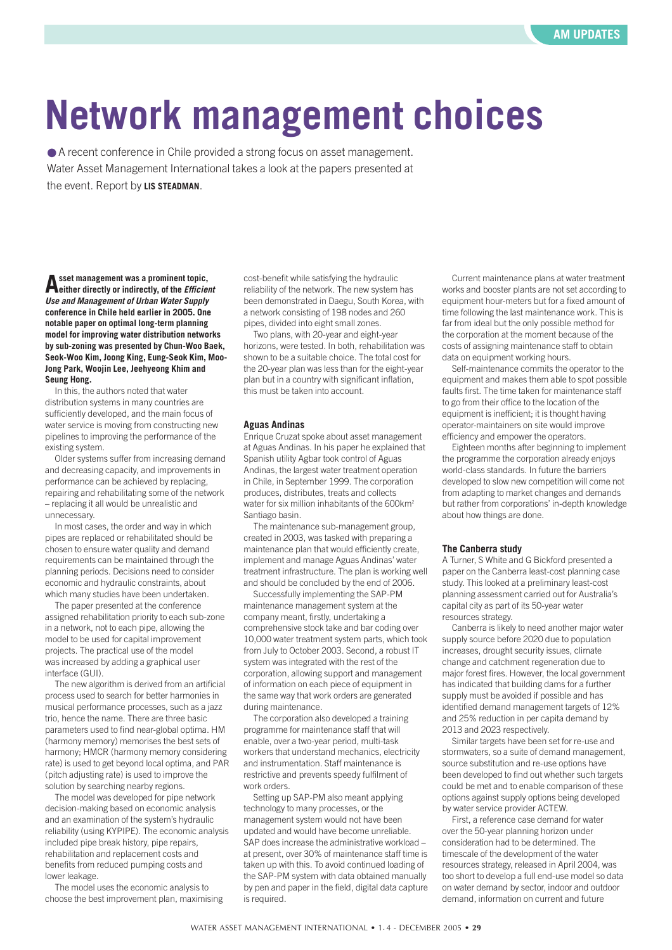# <span id="page-28-0"></span>**Network management choices**

● A recent conference in Chile provided a strong focus on asset management. Water Asset Management International takes a look at the papers presented at the event. Report by **LIS STEADMAN**.

**Asset management was a prominent topic, either directly or indirectly, of the** *Efficient Use and Management of Urban Water Supply* **conference in Chile held earlier in 2005. One notable paper on optimal long-term planning model for improving water distribution networks by sub-zoning was presented by Chun-Woo Baek, Seok-Woo Kim, Joong King, Eung-Seok Kim, Moo-Jong Park, Woojin Lee, Jeehyeong Khim and Seung Hong.**

In this, the authors noted that water distribution systems in many countries are sufficiently developed, and the main focus of water service is moving from constructing new pipelines to improving the performance of the existing system.

Older systems suffer from increasing demand and decreasing capacity, and improvements in performance can be achieved by replacing, repairing and rehabilitating some of the network – replacing it all would be unrealistic and unnecessary.

In most cases, the order and way in which pipes are replaced or rehabilitated should be chosen to ensure water quality and demand requirements can be maintained through the planning periods. Decisions need to consider economic and hydraulic constraints, about which many studies have been undertaken.

The paper presented at the conference assigned rehabilitation priority to each sub-zone in a network, not to each pipe, allowing the model to be used for capital improvement projects. The practical use of the model was increased by adding a graphical user interface (GUI).

The new algorithm is derived from an artificial process used to search for better harmonies in musical performance processes, such as a jazz trio, hence the name. There are three basic parameters used to find near-global optima. HM (harmony memory) memorises the best sets of harmony; HMCR (harmony memory considering rate) is used to get beyond local optima, and PAR (pitch adjusting rate) is used to improve the solution by searching nearby regions.

The model was developed for pipe network decision-making based on economic analysis and an examination of the system's hydraulic reliability (using KYPIPE). The economic analysis included pipe break history, pipe repairs, rehabilitation and replacement costs and benefits from reduced pumping costs and lower leakage.

The model uses the economic analysis to choose the best improvement plan, maximising

cost-benefit while satisfying the hydraulic reliability of the network. The new system has been demonstrated in Daegu, South Korea, with a network consisting of 198 nodes and 260 pipes, divided into eight small zones.

Two plans, with 20-year and eight-year horizons, were tested. In both, rehabilitation was shown to be a suitable choice. The total cost for the 20-year plan was less than for the eight-year plan but in a country with significant inflation, this must be taken into account.

#### **Aguas Andinas**

Enrique Cruzat spoke about asset management at Aguas Andinas. In his paper he explained that Spanish utility Agbar took control of Aguas Andinas, the largest water treatment operation in Chile, in September 1999. The corporation produces, distributes, treats and collects water for six million inhabitants of the 600km<sup>2</sup> Santiago basin.

The maintenance sub-management group, created in 2003, was tasked with preparing a maintenance plan that would efficiently create, implement and manage Aguas Andinas' water treatment infrastructure. The plan is working well and should be concluded by the end of 2006.

Successfully implementing the SAP-PM maintenance management system at the company meant, firstly, undertaking a comprehensive stock take and bar coding over 10,000 water treatment system parts, which took from July to October 2003. Second, a robust IT system was integrated with the rest of the corporation, allowing support and management of information on each piece of equipment in the same way that work orders are generated during maintenance.

The corporation also developed a training programme for maintenance staff that will enable, over a two-year period, multi-task workers that understand mechanics, electricity and instrumentation. Staff maintenance is restrictive and prevents speedy fulfilment of work orders.

Setting up SAP-PM also meant applying technology to many processes, or the management system would not have been updated and would have become unreliable. SAP does increase the administrative workload – at present, over 30% of maintenance staff time is taken up with this. To avoid continued loading of the SAP-PM system with data obtained manually by pen and paper in the field, digital data capture is required.

Current maintenance plans at water treatment works and booster plants are not set according to equipment hour-meters but for a fixed amount of time following the last maintenance work. This is far from ideal but the only possible method for the corporation at the moment because of the costs of assigning maintenance staff to obtain data on equipment working hours.

Self-maintenance commits the operator to the equipment and makes them able to spot possible faults first. The time taken for maintenance staff to go from their office to the location of the equipment is inefficient; it is thought having operator-maintainers on site would improve efficiency and empower the operators.

Eighteen months after beginning to implement the programme the corporation already enjoys world-class standards. In future the barriers developed to slow new competition will come not from adapting to market changes and demands but rather from corporations' in-depth knowledge about how things are done.

#### **The Canberra study**

A Turner, S White and G Bickford presented a paper on the Canberra least-cost planning case study. This looked at a preliminary least-cost planning assessment carried out for Australia's capital city as part of its 50-year water resources strategy.

Canberra is likely to need another major water supply source before 2020 due to population increases, drought security issues, climate change and catchment regeneration due to major forest fires. However, the local government has indicated that building dams for a further supply must be avoided if possible and has identified demand management targets of 12% and 25% reduction in per capita demand by 2013 and 2023 respectively.

Similar targets have been set for re-use and stormwaters, so a suite of demand management, source substitution and re-use options have been developed to find out whether such targets could be met and to enable comparison of these options against supply options being developed by water service provider ACTEW.

First, a reference case demand for water over the 50-year planning horizon under consideration had to be determined. The timescale of the development of the water resources strategy, released in April 2004, was too short to develop a full end-use model so data on water demand by sector, indoor and outdoor demand, information on current and future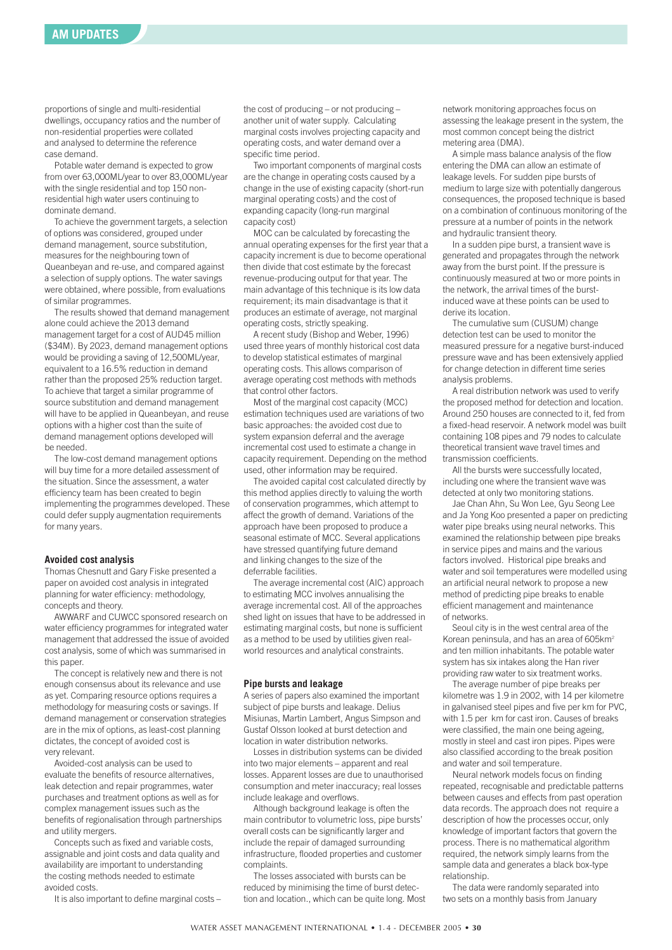proportions of single and multi-residential dwellings, occupancy ratios and the number of non-residential properties were collated and analysed to determine the reference case demand.

Potable water demand is expected to grow from over 63,000ML/year to over 83,000ML/year with the single residential and top 150 nonresidential high water users continuing to dominate demand.

To achieve the government targets, a selection of options was considered, grouped under demand management, source substitution, measures for the neighbouring town of Queanbeyan and re-use, and compared against a selection of supply options. The water savings were obtained, where possible, from evaluations of similar programmes.

The results showed that demand management alone could achieve the 2013 demand management target for a cost of AUD45 million (\$34M). By 2023, demand management options would be providing a saving of 12,500ML/year, equivalent to a 16.5% reduction in demand rather than the proposed 25% reduction target. To achieve that target a similar programme of source substitution and demand management will have to be applied in Queanbeyan, and reuse options with a higher cost than the suite of demand management options developed will be needed.

The low-cost demand management options will buy time for a more detailed assessment of the situation. Since the assessment, a water efficiency team has been created to begin implementing the programmes developed. These could defer supply augmentation requirements for many years.

#### **Avoided cost analysis**

Thomas Chesnutt and Gary Fiske presented a paper on avoided cost analysis in integrated planning for water efficiency: methodology, concepts and theory.

AWWARF and CUWCC sponsored research on water efficiency programmes for integrated water management that addressed the issue of avoided cost analysis, some of which was summarised in this paper.

The concept is relatively new and there is not enough consensus about its relevance and use as yet. Comparing resource options requires a methodology for measuring costs or savings. If demand management or conservation strategies are in the mix of options, as least-cost planning dictates, the concept of avoided cost is very relevant.

Avoided-cost analysis can be used to evaluate the benefits of resource alternatives, leak detection and repair programmes, water purchases and treatment options as well as for complex management issues such as the benefits of regionalisation through partnerships and utility mergers.

Concepts such as fixed and variable costs, assignable and joint costs and data quality and availability are important to understanding the costing methods needed to estimate avoided costs.

It is also important to define marginal costs –

the cost of producing – or not producing – another unit of water supply. Calculating marginal costs involves projecting capacity and operating costs, and water demand over a specific time period.

Two important components of marginal costs are the change in operating costs caused by a change in the use of existing capacity (short-run marginal operating costs) and the cost of expanding capacity (long-run marginal capacity cost)

MOC can be calculated by forecasting the annual operating expenses for the first year that a capacity increment is due to become operational then divide that cost estimate by the forecast revenue-producing output for that year. The main advantage of this technique is its low data requirement; its main disadvantage is that it produces an estimate of average, not marginal operating costs, strictly speaking.

A recent study (Bishop and Weber, 1996) used three years of monthly historical cost data to develop statistical estimates of marginal operating costs. This allows comparison of average operating cost methods with methods that control other factors.

Most of the marginal cost capacity (MCC) estimation techniques used are variations of two basic approaches: the avoided cost due to system expansion deferral and the average incremental cost used to estimate a change in capacity requirement. Depending on the method used, other information may be required.

The avoided capital cost calculated directly by this method applies directly to valuing the worth of conservation programmes, which attempt to affect the growth of demand. Variations of the approach have been proposed to produce a seasonal estimate of MCC. Several applications have stressed quantifying future demand and linking changes to the size of the deferrable facilities.

The average incremental cost (AIC) approach to estimating MCC involves annualising the average incremental cost. All of the approaches shed light on issues that have to be addressed in estimating marginal costs, but none is sufficient as a method to be used by utilities given realworld resources and analytical constraints.

#### **Pipe bursts and leakage**

A series of papers also examined the important subject of pipe bursts and leakage. Delius Misiunas, Martin Lambert, Angus Simpson and Gustaf Olsson looked at burst detection and location in water distribution networks.

Losses in distribution systems can be divided into two major elements – apparent and real losses. Apparent losses are due to unauthorised consumption and meter inaccuracy; real losses include leakage and overflows.

Although background leakage is often the main contributor to volumetric loss, pipe bursts' overall costs can be significantly larger and include the repair of damaged surrounding infrastructure, flooded properties and customer complaints.

The losses associated with bursts can be reduced by minimising the time of burst detection and location., which can be quite long. Most network monitoring approaches focus on assessing the leakage present in the system, the most common concept being the district metering area (DMA).

A simple mass balance analysis of the flow entering the DMA can allow an estimate of leakage levels. For sudden pipe bursts of medium to large size with potentially dangerous consequences, the proposed technique is based on a combination of continuous monitoring of the pressure at a number of points in the network and hydraulic transient theory.

In a sudden pipe burst, a transient wave is generated and propagates through the network away from the burst point. If the pressure is continuously measured at two or more points in the network, the arrival times of the burstinduced wave at these points can be used to derive its location.

The cumulative sum (CUSUM) change detection test can be used to monitor the measured pressure for a negative burst-induced pressure wave and has been extensively applied for change detection in different time series analysis problems.

A real distribution network was used to verify the proposed method for detection and location. Around 250 houses are connected to it, fed from a fixed-head reservoir. A network model was built containing 108 pipes and 79 nodes to calculate theoretical transient wave travel times and transmission coefficients.

All the bursts were successfully located, including one where the transient wave was detected at only two monitoring stations.

Jae Chan Ahn, Su Won Lee, Gyu Seong Lee and Ja Yong Koo presented a paper on predicting water pipe breaks using neural networks. This examined the relationship between pipe breaks in service pipes and mains and the various factors involved. Historical pipe breaks and water and soil temperatures were modelled using an artificial neural network to propose a new method of predicting pipe breaks to enable efficient management and maintenance of networks.

Seoul city is in the west central area of the Korean peninsula, and has an area of 605km<sup>2</sup> and ten million inhabitants. The potable water system has six intakes along the Han river providing raw water to six treatment works.

The average number of pipe breaks per kilometre was 1.9 in 2002, with 14 per kilometre in galvanised steel pipes and five per km for PVC, with 1.5 per km for cast iron. Causes of breaks were classified, the main one being ageing, mostly in steel and cast iron pipes. Pipes were also classified according to the break position and water and soil temperature.

Neural network models focus on finding repeated, recognisable and predictable patterns between causes and effects from past operation data records. The approach does not require a description of how the processes occur, only knowledge of important factors that govern the process. There is no mathematical algorithm required, the network simply learns from the sample data and generates a black box-type relationship.

The data were randomly separated into two sets on a monthly basis from January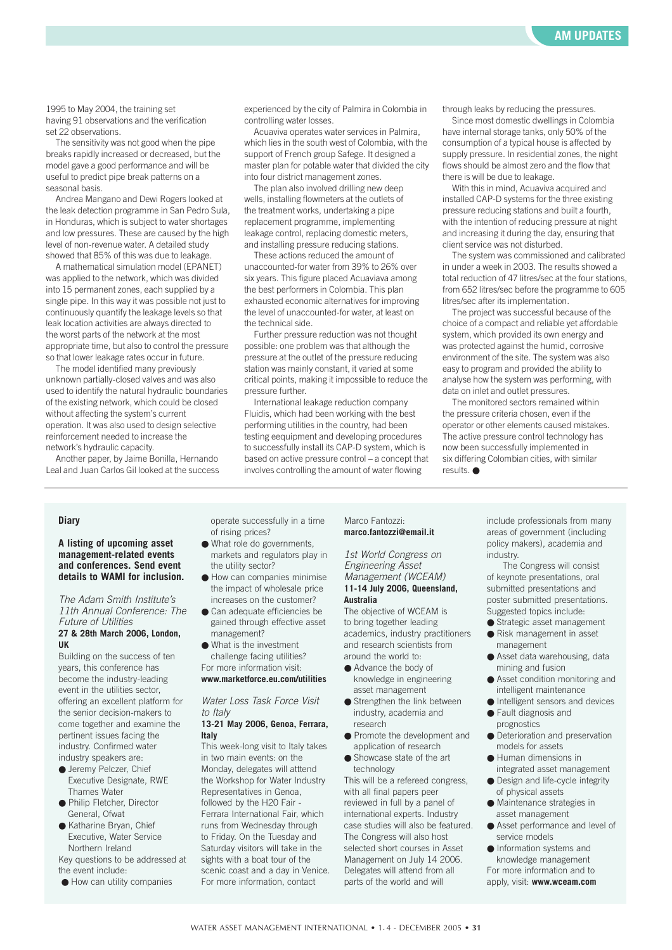1995 to May 2004, the training set having 91 observations and the verification set 22 observations.

The sensitivity was not good when the pipe breaks rapidly increased or decreased, but the model gave a good performance and will be useful to predict pipe break patterns on a seasonal basis.

Andrea Mangano and Dewi Rogers looked at the leak detection programme in San Pedro Sula, in Honduras, which is subject to water shortages and low pressures. These are caused by the high level of non-revenue water. A detailed study showed that 85% of this was due to leakage.

A mathematical simulation model (EPANET) was applied to the network, which was divided into 15 permanent zones, each supplied by a single pipe. In this way it was possible not just to continuously quantify the leakage levels so that leak location activities are always directed to the worst parts of the network at the most appropriate time, but also to control the pressure so that lower leakage rates occur in future.

The model identified many previously unknown partially-closed valves and was also used to identify the natural hydraulic boundaries of the existing network, which could be closed without affecting the system's current operation. It was also used to design selective reinforcement needed to increase the network's hydraulic capacity.

Another paper, by Jaime Bonilla, Hernando Leal and Juan Carlos Gil looked at the success experienced by the city of Palmira in Colombia in controlling water losses.

Acuaviva operates water services in Palmira, which lies in the south west of Colombia, with the support of French group Safege. It designed a master plan for potable water that divided the city into four district management zones.

The plan also involved drilling new deep wells, installing flowmeters at the outlets of the treatment works, undertaking a pipe replacement programme, implementing leakage control, replacing domestic meters, and installing pressure reducing stations.

These actions reduced the amount of unaccounted-for water from 39% to 26% over six years. This figure placed Acuaviava among the best performers in Colombia. This plan exhausted economic alternatives for improving the level of unaccounted-for water, at least on the technical side.

Further pressure reduction was not thought possible: one problem was that although the pressure at the outlet of the pressure reducing station was mainly constant, it varied at some critical points, making it impossible to reduce the pressure further.

International leakage reduction company Fluidis, which had been working with the best performing utilities in the country, had been testing eequipment and developing procedures to successfully install its CAP-D system, which is based on active pressure control – a concept that involves controlling the amount of water flowing

through leaks by reducing the pressures.

Since most domestic dwellings in Colombia have internal storage tanks, only 50% of the consumption of a typical house is affected by supply pressure. In residential zones, the night flows should be almost zero and the flow that there is will be due to leakage.

With this in mind, Acuaviva acquired and installed CAP-D systems for the three existing pressure reducing stations and built a fourth, with the intention of reducing pressure at night and increasing it during the day, ensuring that client service was not disturbed.

The system was commissioned and calibrated in under a week in 2003. The results showed a total reduction of 47 litres/sec at the four stations, from 652 litres/sec before the programme to 605 litres/sec after its implementation.

The project was successful because of the choice of a compact and reliable yet affordable system, which provided its own energy and was protected against the humid, corrosive environment of the site. The system was also easy to program and provided the ability to analyse how the system was performing, with data on inlet and outlet pressures.

The monitored sectors remained within the pressure criteria chosen, even if the operator or other elements caused mistakes. The active pressure control technology has now been successfully implemented in six differing Colombian cities, with similar results. ●

#### **Diary**

**A listing of upcoming asset management-related events and conferences. Send event details to WAMI for inclusion.**

*The Adam Smith Institute's 11th Annual Conference: The Future of Utilities* **27 & 28th March 2006, London,**

**UK** Building on the success of ten years, this conference has become the industry-leading event in the utilities sector, offering an excellent platform for the senior decision-makers to come together and examine the

pertinent issues facing the industry. Confirmed water industry speakers are:

- Jeremy Pelczer, Chief Executive Designate, RWE Thames Water
- Philip Fletcher, Director General, Ofwat
- Katharine Bryan, Chief Executive, Water Service Northern Ireland

Key questions to be addressed at the event include:

● How can utility companies

operate successfully in a time of rising prices?

- What role do governments, markets and regulators play in the utility sector?
- How can companies minimise the impact of wholesale price increases on the customer?
- Can adequate efficiencies be gained through effective asset management?
- What is the investment challenge facing utilities? For more information visit: **www.marketforce.eu.com/utilities**

#### *Water Loss Task Force Visit to Italy*

#### **13-21 May 2006, Genoa, Ferrara, Italy**

This week-long visit to Italy takes in two main events: on the Monday, delegates will atttend the Workshop for Water Industry Representatives in Genoa, followed by the H20 Fair - Ferrara International Fair, which runs from Wednesday through to Friday. On the Tuesday and Saturday visitors will take in the sights with a boat tour of the scenic coast and a day in Venice. For more information, contact

#### Marco Fantozzi: **marco.fantozzi@email.it**

#### *1st World Congress on Engineering Asset Management (WCEAM)* **11-14 July 2006, Queensland,**

**Australia**

The objective of WCEAM is to bring together leading academics, industry practitioners and research scientists from around the world to:

- Advance the body of knowledge in engineering asset management
- Strengthen the link between industry, academia and research
- Promote the development and application of research
- Showcase state of the art technology

This will be a refereed congress, with all final papers peer reviewed in full by a panel of international experts. Industry case studies will also be featured. The Congress will also host selected short courses in Asset Management on July 14 2006. Delegates will attend from all parts of the world and will

include professionals from many areas of government (including policy makers), academia and industry.

The Congress will consist of keynote presentations, oral submitted presentations and poster submitted presentations. Suggested topics include:

- Strategic asset management
- Risk management in asset management
- Asset data warehousing, data mining and fusion
- Asset condition monitoring and intelligent maintenance
- Intelligent sensors and devices ● Fault diagnosis and
- prognostics ● Deterioration and preservation
- models for assets ● Human dimensions in
- integrated asset management ● Design and life-cycle integrity
- of physical assets ● Maintenance strategies in asset management
- Asset performance and level of service models
- Information systems and knowledge management For more information and to apply, visit: **www.wceam.com**